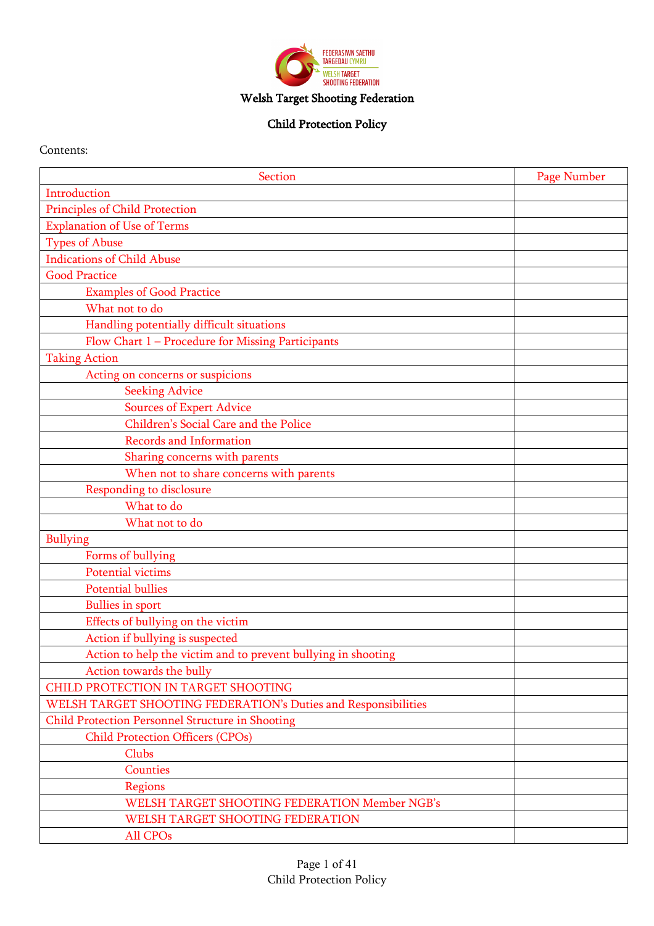

# Welsh Target Shooting Federation

## Child Protection Policy

### Contents:

| <b>Section</b>                                                 | Page Number |
|----------------------------------------------------------------|-------------|
| Introduction                                                   |             |
| Principles of Child Protection                                 |             |
| <b>Explanation of Use of Terms</b>                             |             |
| <b>Types of Abuse</b>                                          |             |
| <b>Indications of Child Abuse</b>                              |             |
| <b>Good Practice</b>                                           |             |
| <b>Examples of Good Practice</b>                               |             |
| What not to do                                                 |             |
| Handling potentially difficult situations                      |             |
| Flow Chart 1 - Procedure for Missing Participants              |             |
| <b>Taking Action</b>                                           |             |
| Acting on concerns or suspicions                               |             |
| <b>Seeking Advice</b>                                          |             |
| <b>Sources of Expert Advice</b>                                |             |
| Children's Social Care and the Police                          |             |
| <b>Records and Information</b>                                 |             |
| Sharing concerns with parents                                  |             |
| When not to share concerns with parents                        |             |
| Responding to disclosure                                       |             |
| What to do                                                     |             |
| What not to do                                                 |             |
| <b>Bullying</b>                                                |             |
| Forms of bullying                                              |             |
| <b>Potential victims</b>                                       |             |
| <b>Potential bullies</b>                                       |             |
| <b>Bullies in sport</b>                                        |             |
| Effects of bullying on the victim                              |             |
| Action if bullying is suspected                                |             |
| Action to help the victim and to prevent bullying in shooting  |             |
| Action towards the bully                                       |             |
| CHILD PROTECTION IN TARGET SHOOTING                            |             |
| WELSH TARGET SHOOTING FEDERATION's Duties and Responsibilities |             |
| Child Protection Personnel Structure in Shooting               |             |
| <b>Child Protection Officers (CPOs)</b>                        |             |
| Clubs                                                          |             |
| <b>Counties</b>                                                |             |
| Regions                                                        |             |
| <b>WELSH TARGET SHOOTING FEDERATION Member NGB's</b>           |             |
| WELSH TARGET SHOOTING FEDERATION                               |             |
| All CPOs                                                       |             |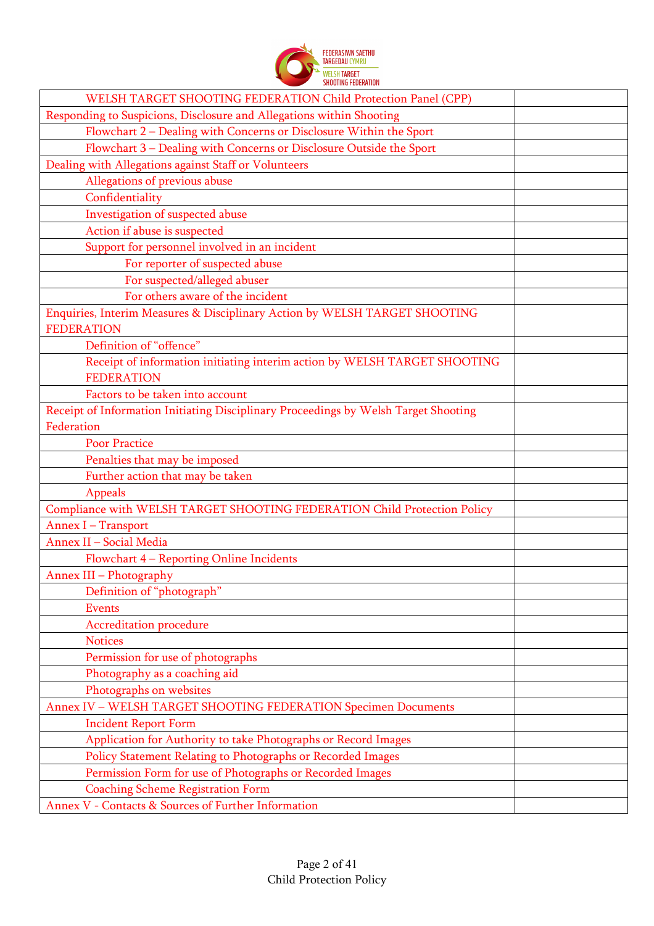

| WELSH TARGET SHOOTING FEDERATION Child Protection Panel (CPP)                                   |  |
|-------------------------------------------------------------------------------------------------|--|
| Responding to Suspicions, Disclosure and Allegations within Shooting                            |  |
| Flowchart 2 - Dealing with Concerns or Disclosure Within the Sport                              |  |
| Flowchart 3 - Dealing with Concerns or Disclosure Outside the Sport                             |  |
| Dealing with Allegations against Staff or Volunteers                                            |  |
| Allegations of previous abuse                                                                   |  |
| Confidentiality                                                                                 |  |
| Investigation of suspected abuse                                                                |  |
| Action if abuse is suspected                                                                    |  |
| Support for personnel involved in an incident                                                   |  |
| For reporter of suspected abuse                                                                 |  |
| For suspected/alleged abuser                                                                    |  |
| For others aware of the incident                                                                |  |
| Enquiries, Interim Measures & Disciplinary Action by WELSH TARGET SHOOTING<br><b>FEDERATION</b> |  |
| Definition of "offence"                                                                         |  |
| Receipt of information initiating interim action by WELSH TARGET SHOOTING                       |  |
| <b>FEDERATION</b>                                                                               |  |
| Factors to be taken into account                                                                |  |
| Receipt of Information Initiating Disciplinary Proceedings by Welsh Target Shooting             |  |
| Federation                                                                                      |  |
| <b>Poor Practice</b>                                                                            |  |
| Penalties that may be imposed                                                                   |  |
| Further action that may be taken                                                                |  |
| Appeals                                                                                         |  |
| Compliance with WELSH TARGET SHOOTING FEDERATION Child Protection Policy                        |  |
| Annex I - Transport                                                                             |  |
| Annex II - Social Media                                                                         |  |
| Flowchart 4 - Reporting Online Incidents                                                        |  |
| Annex III - Photography                                                                         |  |
| Definition of "photograph"                                                                      |  |
| <b>Events</b>                                                                                   |  |
| <b>Accreditation procedure</b>                                                                  |  |
| <b>Notices</b>                                                                                  |  |
| Permission for use of photographs                                                               |  |
| Photography as a coaching aid                                                                   |  |
| Photographs on websites                                                                         |  |
| Annex IV - WELSH TARGET SHOOTING FEDERATION Specimen Documents                                  |  |
| <b>Incident Report Form</b>                                                                     |  |
| Application for Authority to take Photographs or Record Images                                  |  |
|                                                                                                 |  |
| Policy Statement Relating to Photographs or Recorded Images                                     |  |
| Permission Form for use of Photographs or Recorded Images                                       |  |
| <b>Coaching Scheme Registration Form</b>                                                        |  |
| Annex V - Contacts & Sources of Further Information                                             |  |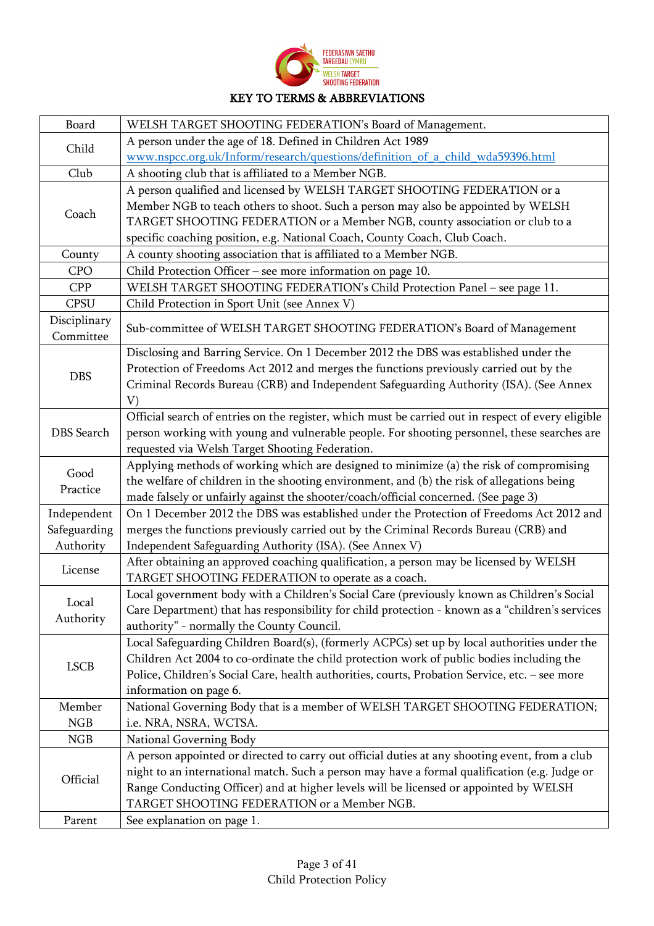| <b>FEDERASIWN SAETHUL</b><br><b>TARGEDAIL CYMRIL</b> |
|------------------------------------------------------|
| WELSH <b>TARGET</b><br>SHOOTING FEDERATION           |

## KEY TO TERMS & ABBREVIATIONS

| Board                     | WELSH TARGET SHOOTING FEDERATION's Board of Management.                                            |
|---------------------------|----------------------------------------------------------------------------------------------------|
| Child                     | A person under the age of 18. Defined in Children Act 1989                                         |
|                           | www.nspcc.org.uk/Inform/research/questions/definition of a child wda59396.html                     |
| Club                      | A shooting club that is affiliated to a Member NGB.                                                |
|                           | A person qualified and licensed by WELSH TARGET SHOOTING FEDERATION or a                           |
|                           | Member NGB to teach others to shoot. Such a person may also be appointed by WELSH                  |
| Coach                     | TARGET SHOOTING FEDERATION or a Member NGB, county association or club to a                        |
|                           | specific coaching position, e.g. National Coach, County Coach, Club Coach.                         |
| County                    | A county shooting association that is affiliated to a Member NGB.                                  |
| <b>CPO</b>                | Child Protection Officer - see more information on page 10.                                        |
| <b>CPP</b>                | WELSH TARGET SHOOTING FEDERATION's Child Protection Panel - see page 11.                           |
| <b>CPSU</b>               | Child Protection in Sport Unit (see Annex V)                                                       |
| Disciplinary<br>Committee | Sub-committee of WELSH TARGET SHOOTING FEDERATION's Board of Management                            |
|                           | Disclosing and Barring Service. On 1 December 2012 the DBS was established under the               |
|                           | Protection of Freedoms Act 2012 and merges the functions previously carried out by the             |
| <b>DBS</b>                | Criminal Records Bureau (CRB) and Independent Safeguarding Authority (ISA). (See Annex             |
|                           | V)                                                                                                 |
|                           | Official search of entries on the register, which must be carried out in respect of every eligible |
| <b>DBS</b> Search         | person working with young and vulnerable people. For shooting personnel, these searches are        |
|                           | requested via Welsh Target Shooting Federation.                                                    |
|                           | Applying methods of working which are designed to minimize (a) the risk of compromising            |
| Good                      | the welfare of children in the shooting environment, and (b) the risk of allegations being         |
| Practice                  | made falsely or unfairly against the shooter/coach/official concerned. (See page 3)                |
| Independent               | On 1 December 2012 the DBS was established under the Protection of Freedoms Act 2012 and           |
| Safeguarding              | merges the functions previously carried out by the Criminal Records Bureau (CRB) and               |
| Authority                 | Independent Safeguarding Authority (ISA). (See Annex V)                                            |
|                           | After obtaining an approved coaching qualification, a person may be licensed by WELSH              |
| License                   | TARGET SHOOTING FEDERATION to operate as a coach.                                                  |
|                           | Local government body with a Children's Social Care (previously known as Children's Social         |
| Local                     | Care Department) that has responsibility for child protection - known as a "children's services    |
| Authority                 | authority" - normally the County Council.                                                          |
|                           | Local Safeguarding Children Board(s), (formerly ACPCs) set up by local authorities under the       |
|                           | Children Act 2004 to co-ordinate the child protection work of public bodies including the          |
| <b>LSCB</b>               | Police, Children's Social Care, health authorities, courts, Probation Service, etc. - see more     |
|                           | information on page 6.                                                                             |
| Member                    | National Governing Body that is a member of WELSH TARGET SHOOTING FEDERATION;                      |
| <b>NGB</b>                | i.e. NRA, NSRA, WCTSA.                                                                             |
| NGB                       | National Governing Body                                                                            |
|                           | A person appointed or directed to carry out official duties at any shooting event, from a club     |
| Official                  | night to an international match. Such a person may have a formal qualification (e.g. Judge or      |
|                           | Range Conducting Officer) and at higher levels will be licensed or appointed by WELSH              |
|                           | TARGET SHOOTING FEDERATION or a Member NGB.                                                        |
| Parent                    | See explanation on page 1.                                                                         |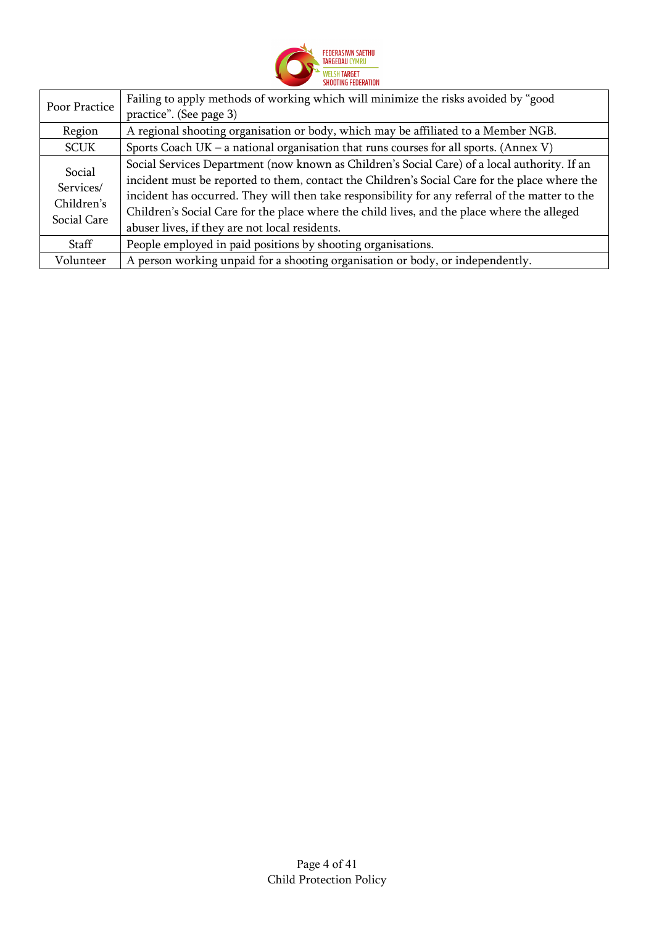

| Poor Practice                                    | Failing to apply methods of working which will minimize the risks avoided by "good<br>practice". (See page 3)                                                                                                                                                                                                                                                                                                                                     |
|--------------------------------------------------|---------------------------------------------------------------------------------------------------------------------------------------------------------------------------------------------------------------------------------------------------------------------------------------------------------------------------------------------------------------------------------------------------------------------------------------------------|
| Region                                           | A regional shooting organisation or body, which may be affiliated to a Member NGB.                                                                                                                                                                                                                                                                                                                                                                |
| <b>SCUK</b>                                      | Sports Coach UK – a national organisation that runs courses for all sports. (Annex V)                                                                                                                                                                                                                                                                                                                                                             |
| Social<br>Services/<br>Children's<br>Social Care | Social Services Department (now known as Children's Social Care) of a local authority. If an<br>incident must be reported to them, contact the Children's Social Care for the place where the<br>incident has occurred. They will then take responsibility for any referral of the matter to the<br>Children's Social Care for the place where the child lives, and the place where the alleged<br>abuser lives, if they are not local residents. |
| Staff                                            | People employed in paid positions by shooting organisations.                                                                                                                                                                                                                                                                                                                                                                                      |
| Volunteer                                        | A person working unpaid for a shooting organisation or body, or independently.                                                                                                                                                                                                                                                                                                                                                                    |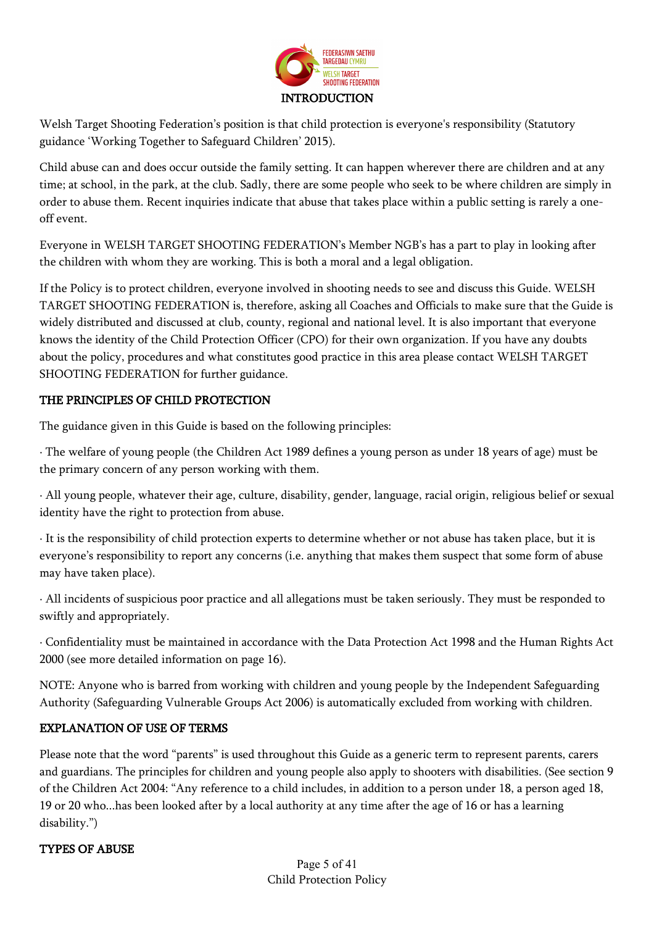

Welsh Target Shooting Federation's position is that child protection is everyone's responsibility (Statutory guidance 'Working Together to Safeguard Children' 2015).

Child abuse can and does occur outside the family setting. It can happen wherever there are children and at any time; at school, in the park, at the club. Sadly, there are some people who seek to be where children are simply in order to abuse them. Recent inquiries indicate that abuse that takes place within a public setting is rarely a oneoff event.

Everyone in WELSH TARGET SHOOTING FEDERATION's Member NGB's has a part to play in looking after the children with whom they are working. This is both a moral and a legal obligation.

If the Policy is to protect children, everyone involved in shooting needs to see and discuss this Guide. WELSH TARGET SHOOTING FEDERATION is, therefore, asking all Coaches and Officials to make sure that the Guide is widely distributed and discussed at club, county, regional and national level. It is also important that everyone knows the identity of the Child Protection Officer (CPO) for their own organization. If you have any doubts about the policy, procedures and what constitutes good practice in this area please contact WELSH TARGET SHOOTING FEDERATION for further guidance.

## THE PRINCIPLES OF CHILD PROTECTION

The guidance given in this Guide is based on the following principles:

· The welfare of young people (the Children Act 1989 defines a young person as under 18 years of age) must be the primary concern of any person working with them.

· All young people, whatever their age, culture, disability, gender, language, racial origin, religious belief or sexual identity have the right to protection from abuse.

· It is the responsibility of child protection experts to determine whether or not abuse has taken place, but it is everyone's responsibility to report any concerns (i.e. anything that makes them suspect that some form of abuse may have taken place).

· All incidents of suspicious poor practice and all allegations must be taken seriously. They must be responded to swiftly and appropriately.

· Confidentiality must be maintained in accordance with the Data Protection Act 1998 and the Human Rights Act 2000 (see more detailed information on page 16).

NOTE: Anyone who is barred from working with children and young people by the Independent Safeguarding Authority (Safeguarding Vulnerable Groups Act 2006) is automatically excluded from working with children.

## EXPLANATION OF USE OF TERMS

Please note that the word "parents" is used throughout this Guide as a generic term to represent parents, carers and guardians. The principles for children and young people also apply to shooters with disabilities. (See section 9 of the Children Act 2004: "Any reference to a child includes, in addition to a person under 18, a person aged 18, 19 or 20 who...has been looked after by a local authority at any time after the age of 16 or has a learning disability.")

## TYPES OF ABUSE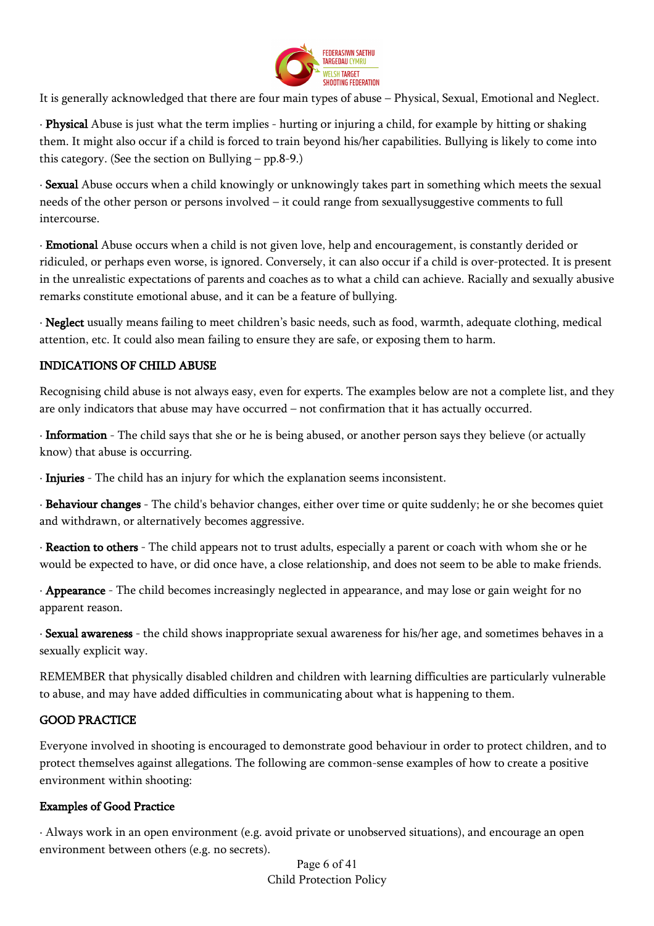

It is generally acknowledged that there are four main types of abuse – Physical, Sexual, Emotional and Neglect.

· Physical Abuse is just what the term implies - hurting or injuring a child, for example by hitting or shaking them. It might also occur if a child is forced to train beyond his/her capabilities. Bullying is likely to come into this category. (See the section on Bullying – pp.8-9.)

· Sexual Abuse occurs when a child knowingly or unknowingly takes part in something which meets the sexual needs of the other person or persons involved – it could range from sexuallysuggestive comments to full intercourse.

· Emotional Abuse occurs when a child is not given love, help and encouragement, is constantly derided or ridiculed, or perhaps even worse, is ignored. Conversely, it can also occur if a child is over-protected. It is present in the unrealistic expectations of parents and coaches as to what a child can achieve. Racially and sexually abusive remarks constitute emotional abuse, and it can be a feature of bullying.

· Neglect usually means failing to meet children's basic needs, such as food, warmth, adequate clothing, medical attention, etc. It could also mean failing to ensure they are safe, or exposing them to harm.

## INDICATIONS OF CHILD ABUSE

Recognising child abuse is not always easy, even for experts. The examples below are not a complete list, and they are only indicators that abuse may have occurred – not confirmation that it has actually occurred.

· Information - The child says that she or he is being abused, or another person says they believe (or actually know) that abuse is occurring.

· Injuries - The child has an injury for which the explanation seems inconsistent.

· Behaviour changes - The child's behavior changes, either over time or quite suddenly; he or she becomes quiet and withdrawn, or alternatively becomes aggressive.

· Reaction to others - The child appears not to trust adults, especially a parent or coach with whom she or he would be expected to have, or did once have, a close relationship, and does not seem to be able to make friends.

· Appearance - The child becomes increasingly neglected in appearance, and may lose or gain weight for no apparent reason.

· Sexual awareness - the child shows inappropriate sexual awareness for his/her age, and sometimes behaves in a sexually explicit way.

REMEMBER that physically disabled children and children with learning difficulties are particularly vulnerable to abuse, and may have added difficulties in communicating about what is happening to them.

## GOOD PRACTICE

Everyone involved in shooting is encouraged to demonstrate good behaviour in order to protect children, and to protect themselves against allegations. The following are common-sense examples of how to create a positive environment within shooting:

## Examples of Good Practice

· Always work in an open environment (e.g. avoid private or unobserved situations), and encourage an open environment between others (e.g. no secrets).

> Page 6 of 41 Child Protection Policy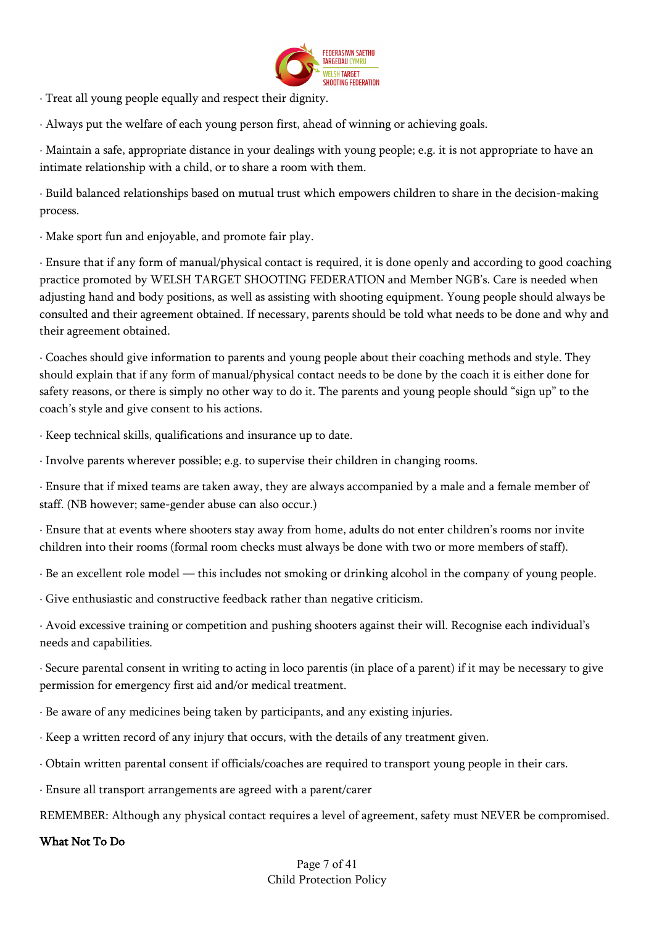

· Treat all young people equally and respect their dignity.

· Always put the welfare of each young person first, ahead of winning or achieving goals.

· Maintain a safe, appropriate distance in your dealings with young people; e.g. it is not appropriate to have an intimate relationship with a child, or to share a room with them.

· Build balanced relationships based on mutual trust which empowers children to share in the decision-making process.

· Make sport fun and enjoyable, and promote fair play.

· Ensure that if any form of manual/physical contact is required, it is done openly and according to good coaching practice promoted by WELSH TARGET SHOOTING FEDERATION and Member NGB's. Care is needed when adjusting hand and body positions, as well as assisting with shooting equipment. Young people should always be consulted and their agreement obtained. If necessary, parents should be told what needs to be done and why and their agreement obtained.

· Coaches should give information to parents and young people about their coaching methods and style. They should explain that if any form of manual/physical contact needs to be done by the coach it is either done for safety reasons, or there is simply no other way to do it. The parents and young people should "sign up" to the coach's style and give consent to his actions.

· Keep technical skills, qualifications and insurance up to date.

· Involve parents wherever possible; e.g. to supervise their children in changing rooms.

· Ensure that if mixed teams are taken away, they are always accompanied by a male and a female member of staff. (NB however; same-gender abuse can also occur.)

· Ensure that at events where shooters stay away from home, adults do not enter children's rooms nor invite children into their rooms (formal room checks must always be done with two or more members of staff).

· Be an excellent role model — this includes not smoking or drinking alcohol in the company of young people.

· Give enthusiastic and constructive feedback rather than negative criticism.

· Avoid excessive training or competition and pushing shooters against their will. Recognise each individual's needs and capabilities.

· Secure parental consent in writing to acting in loco parentis (in place of a parent) if it may be necessary to give permission for emergency first aid and/or medical treatment.

- · Be aware of any medicines being taken by participants, and any existing injuries.
- · Keep a written record of any injury that occurs, with the details of any treatment given.
- · Obtain written parental consent if officials/coaches are required to transport young people in their cars.
- · Ensure all transport arrangements are agreed with a parent/carer

REMEMBER: Although any physical contact requires a level of agreement, safety must NEVER be compromised.

#### What Not To Do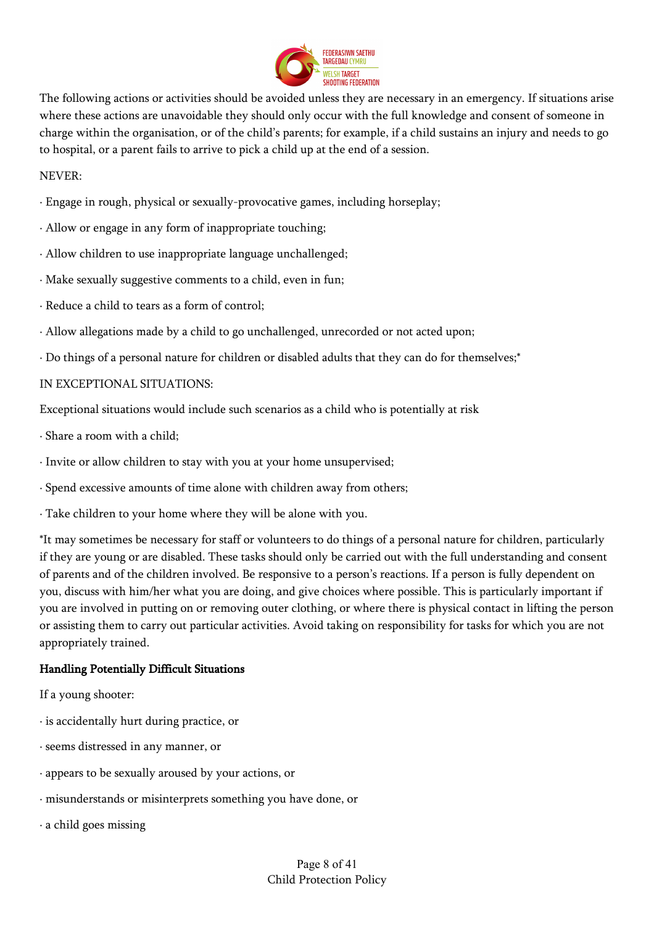

The following actions or activities should be avoided unless they are necessary in an emergency. If situations arise where these actions are unavoidable they should only occur with the full knowledge and consent of someone in charge within the organisation, or of the child's parents; for example, if a child sustains an injury and needs to go to hospital, or a parent fails to arrive to pick a child up at the end of a session.

### NEVER:

- · Engage in rough, physical or sexually-provocative games, including horseplay;
- · Allow or engage in any form of inappropriate touching;
- · Allow children to use inappropriate language unchallenged;
- · Make sexually suggestive comments to a child, even in fun;
- · Reduce a child to tears as a form of control;
- · Allow allegations made by a child to go unchallenged, unrecorded or not acted upon;
- · Do things of a personal nature for children or disabled adults that they can do for themselves;\*

## IN EXCEPTIONAL SITUATIONS:

Exceptional situations would include such scenarios as a child who is potentially at risk

- · Share a room with a child;
- · Invite or allow children to stay with you at your home unsupervised;
- · Spend excessive amounts of time alone with children away from others;
- · Take children to your home where they will be alone with you.

\*It may sometimes be necessary for staff or volunteers to do things of a personal nature for children, particularly if they are young or are disabled. These tasks should only be carried out with the full understanding and consent of parents and of the children involved. Be responsive to a person's reactions. If a person is fully dependent on you, discuss with him/her what you are doing, and give choices where possible. This is particularly important if you are involved in putting on or removing outer clothing, or where there is physical contact in lifting the person or assisting them to carry out particular activities. Avoid taking on responsibility for tasks for which you are not appropriately trained.

## Handling Potentially Difficult Situations

If a young shooter:

- · is accidentally hurt during practice, or
- · seems distressed in any manner, or
- · appears to be sexually aroused by your actions, or
- · misunderstands or misinterprets something you have done, or
- · a child goes missing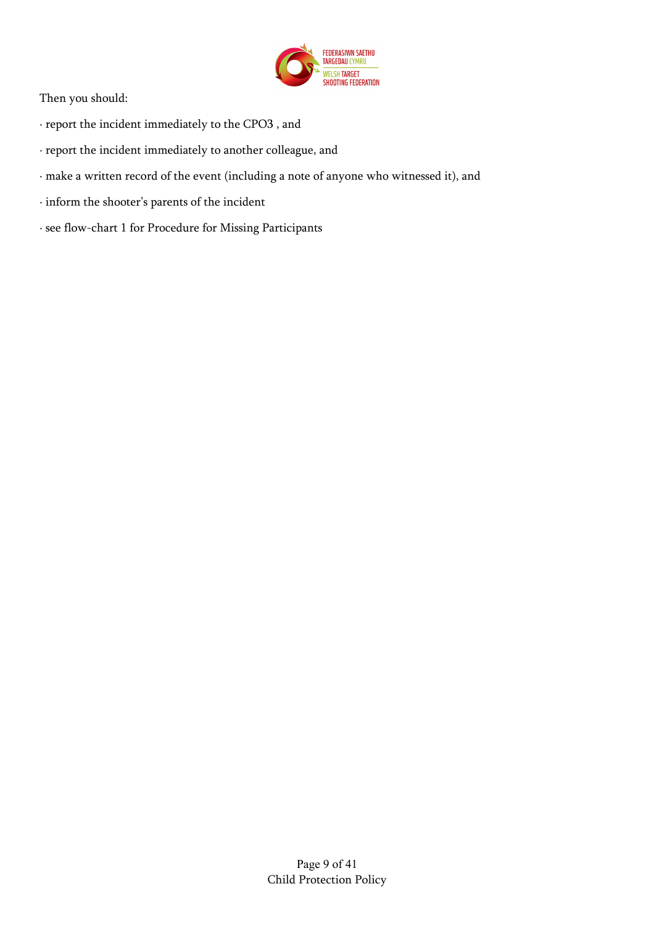

Then you should:

- · report the incident immediately to the CPO3 , and
- · report the incident immediately to another colleague, and
- · make a written record of the event (including a note of anyone who witnessed it), and
- · inform the shooter's parents of the incident
- · see flow-chart 1 for Procedure for Missing Participants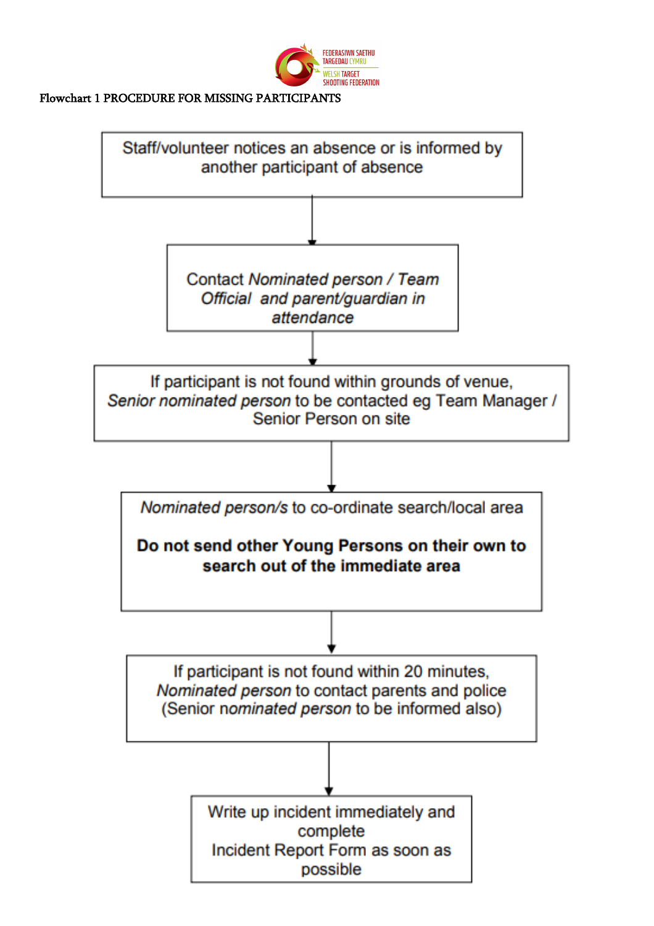

### Flowchart 1 PROCEDURE FOR MISSING PARTICIPANTS

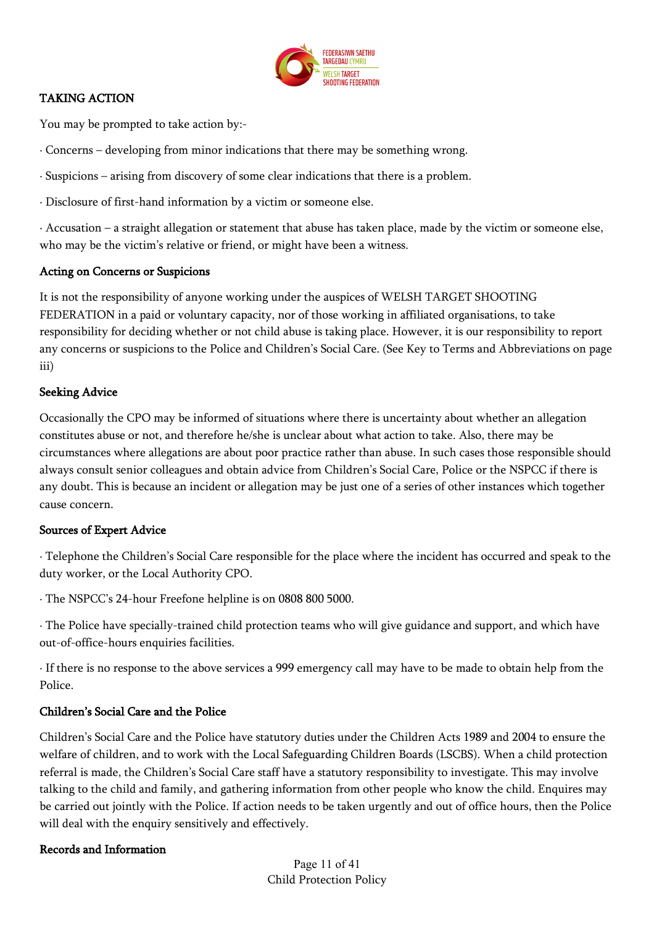

## TAKING ACTION

You may be prompted to take action by:-

· Concerns – developing from minor indications that there may be something wrong.

· Suspicions – arising from discovery of some clear indications that there is a problem.

· Disclosure of first-hand information by a victim or someone else.

· Accusation – a straight allegation or statement that abuse has taken place, made by the victim or someone else, who may be the victim's relative or friend, or might have been a witness.

### Acting on Concerns or Suspicions

It is not the responsibility of anyone working under the auspices of WELSH TARGET SHOOTING FEDERATION in a paid or voluntary capacity, nor of those working in affiliated organisations, to take responsibility for deciding whether or not child abuse is taking place. However, it is our responsibility to report any concerns or suspicions to the Police and Children's Social Care. (See Key to Terms and Abbreviations on page iii)

## Seeking Advice

Occasionally the CPO may be informed of situations where there is uncertainty about whether an allegation constitutes abuse or not, and therefore he/she is unclear about what action to take. Also, there may be circumstances where allegations are about poor practice rather than abuse. In such cases those responsible should always consult senior colleagues and obtain advice from Children's Social Care, Police or the NSPCC if there is any doubt. This is because an incident or allegation may be just one of a series of other instances which together cause concern.

## Sources of Expert Advice

· Telephone the Children's Social Care responsible for the place where the incident has occurred and speak to the duty worker, or the Local Authority CPO.

· The NSPCC's 24-hour Freefone helpline is on 0808 800 5000.

· The Police have specially-trained child protection teams who will give guidance and support, and which have out-of-office-hours enquiries facilities.

· If there is no response to the above services a 999 emergency call may have to be made to obtain help from the Police.

## Children's Social Care and the Police

Children's Social Care and the Police have statutory duties under the Children Acts 1989 and 2004 to ensure the welfare of children, and to work with the Local Safeguarding Children Boards (LSCBS). When a child protection referral is made, the Children's Social Care staff have a statutory responsibility to investigate. This may involve talking to the child and family, and gathering information from other people who know the child. Enquires may be carried out jointly with the Police. If action needs to be taken urgently and out of office hours, then the Police will deal with the enquiry sensitively and effectively.

## Records and Information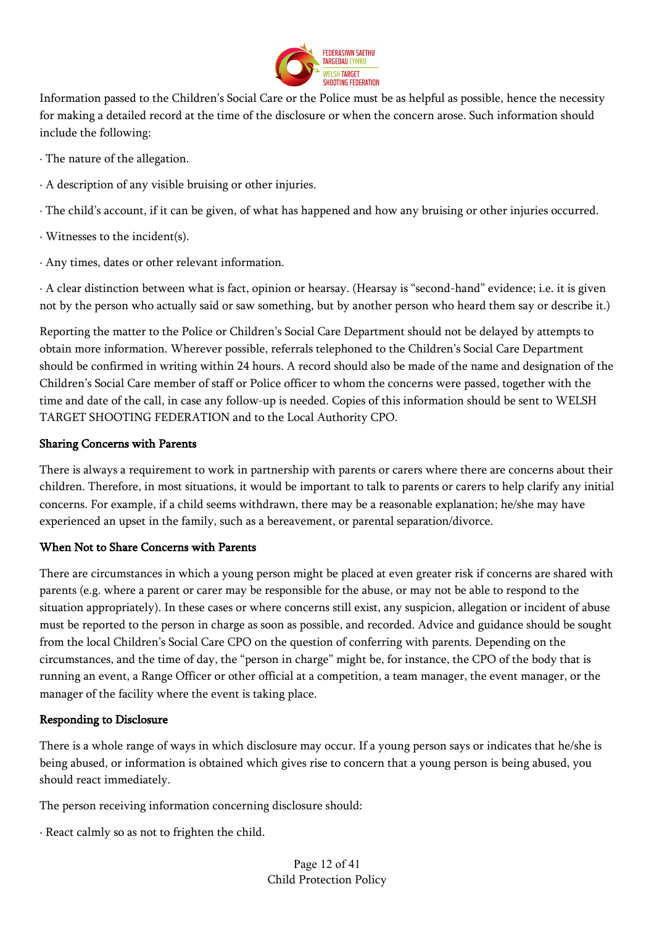

Information passed to the Children's Social Care or the Police must be as helpful as possible, hence the necessity for making a detailed record at the time of the disclosure or when the concern arose. Such information should include the following:

· The nature of the allegation.

- · A description of any visible bruising or other injuries.
- · The child's account, if it can be given, of what has happened and how any bruising or other injuries occurred.
- · Witnesses to the incident(s).
- · Any times, dates or other relevant information.

· A clear distinction between what is fact, opinion or hearsay. (Hearsay is "second-hand" evidence; i.e. it is given not by the person who actually said or saw something, but by another person who heard them say or describe it.)

Reporting the matter to the Police or Children's Social Care Department should not be delayed by attempts to obtain more information. Wherever possible, referrals telephoned to the Children's Social Care Department should be confirmed in writing within 24 hours. A record should also be made of the name and designation of the Children's Social Care member of staff or Police officer to whom the concerns were passed, together with the time and date of the call, in case any follow-up is needed. Copies of this information should be sent to WELSH TARGET SHOOTING FEDERATION and to the Local Authority CPO.

### Sharing Concerns with Parents

There is always a requirement to work in partnership with parents or carers where there are concerns about their children. Therefore, in most situations, it would be important to talk to parents or carers to help clarify any initial concerns. For example, if a child seems withdrawn, there may be a reasonable explanation; he/she may have experienced an upset in the family, such as a bereavement, or parental separation/divorce.

#### When Not to Share Concerns with Parents

There are circumstances in which a young person might be placed at even greater risk if concerns are shared with parents (e.g. where a parent or carer may be responsible for the abuse, or may not be able to respond to the situation appropriately). In these cases or where concerns still exist, any suspicion, allegation or incident of abuse must be reported to the person in charge as soon as possible, and recorded. Advice and guidance should be sought from the local Children's Social Care CPO on the question of conferring with parents. Depending on the circumstances, and the time of day, the "person in charge" might be, for instance, the CPO of the body that is running an event, a Range Officer or other official at a competition, a team manager, the event manager, or the manager of the facility where the event is taking place.

## Responding to Disclosure

There is a whole range of ways in which disclosure may occur. If a young person says or indicates that he/she is being abused, or information is obtained which gives rise to concern that a young person is being abused, you should react immediately.

The person receiving information concerning disclosure should:

· React calmly so as not to frighten the child.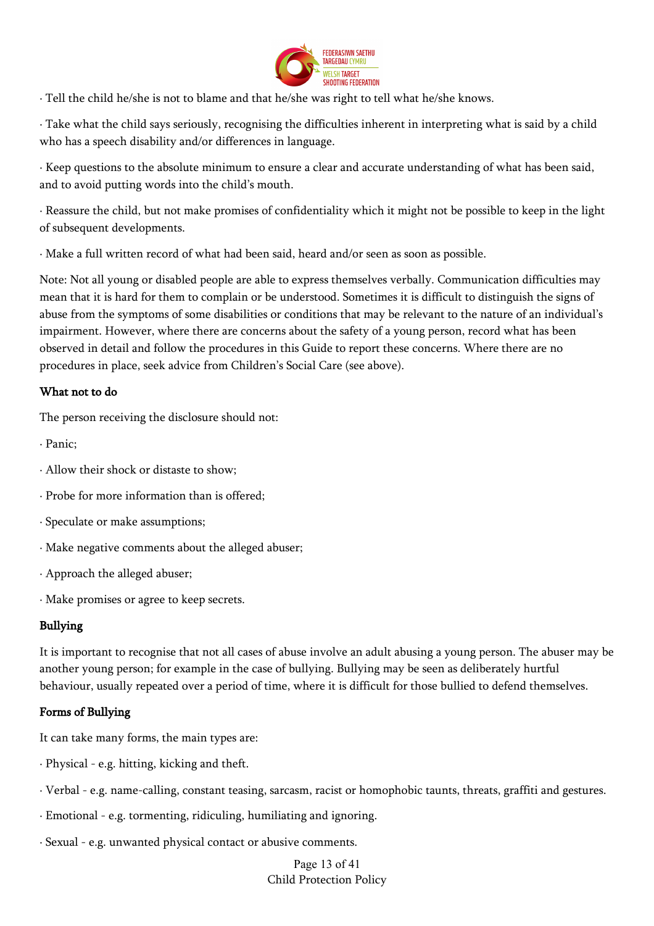

· Tell the child he/she is not to blame and that he/she was right to tell what he/she knows.

· Take what the child says seriously, recognising the difficulties inherent in interpreting what is said by a child who has a speech disability and/or differences in language.

· Keep questions to the absolute minimum to ensure a clear and accurate understanding of what has been said, and to avoid putting words into the child's mouth.

· Reassure the child, but not make promises of confidentiality which it might not be possible to keep in the light of subsequent developments.

· Make a full written record of what had been said, heard and/or seen as soon as possible.

Note: Not all young or disabled people are able to express themselves verbally. Communication difficulties may mean that it is hard for them to complain or be understood. Sometimes it is difficult to distinguish the signs of abuse from the symptoms of some disabilities or conditions that may be relevant to the nature of an individual's impairment. However, where there are concerns about the safety of a young person, record what has been observed in detail and follow the procedures in this Guide to report these concerns. Where there are no procedures in place, seek advice from Children's Social Care (see above).

## What not to do

The person receiving the disclosure should not:

- · Panic;
- · Allow their shock or distaste to show;
- · Probe for more information than is offered;
- · Speculate or make assumptions;
- · Make negative comments about the alleged abuser;
- · Approach the alleged abuser;
- · Make promises or agree to keep secrets.

## Bullying

It is important to recognise that not all cases of abuse involve an adult abusing a young person. The abuser may be another young person; for example in the case of bullying. Bullying may be seen as deliberately hurtful behaviour, usually repeated over a period of time, where it is difficult for those bullied to defend themselves.

## Forms of Bullying

It can take many forms, the main types are:

- · Physical e.g. hitting, kicking and theft.
- · Verbal e.g. name-calling, constant teasing, sarcasm, racist or homophobic taunts, threats, graffiti and gestures.
- · Emotional e.g. tormenting, ridiculing, humiliating and ignoring.
- · Sexual e.g. unwanted physical contact or abusive comments.

Page 13 of 41 Child Protection Policy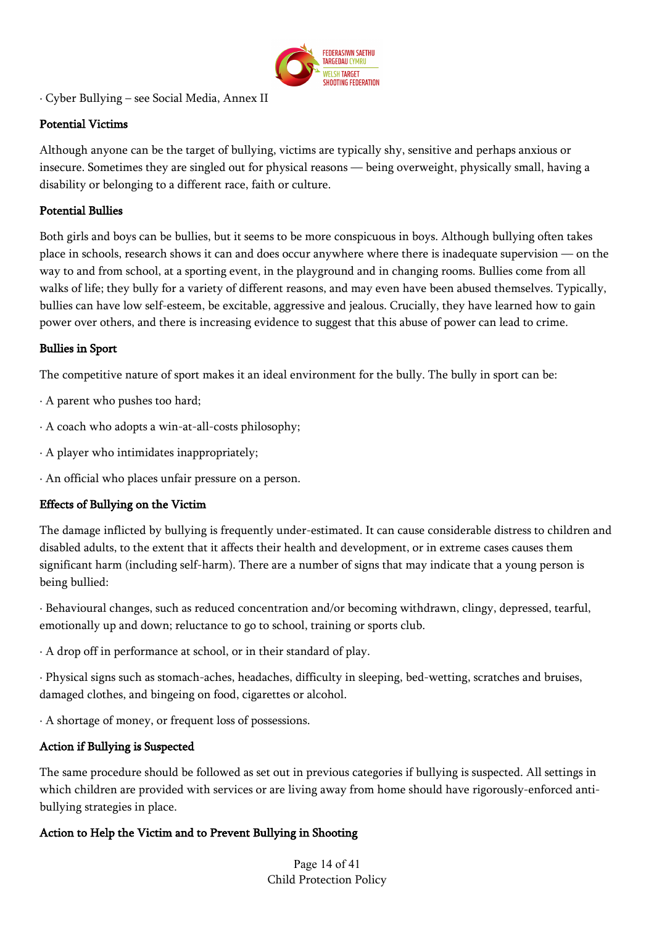

· Cyber Bullying – see Social Media, Annex II

## Potential Victims

Although anyone can be the target of bullying, victims are typically shy, sensitive and perhaps anxious or insecure. Sometimes they are singled out for physical reasons — being overweight, physically small, having a disability or belonging to a different race, faith or culture.

### Potential Bullies

Both girls and boys can be bullies, but it seems to be more conspicuous in boys. Although bullying often takes place in schools, research shows it can and does occur anywhere where there is inadequate supervision — on the way to and from school, at a sporting event, in the playground and in changing rooms. Bullies come from all walks of life; they bully for a variety of different reasons, and may even have been abused themselves. Typically, bullies can have low self-esteem, be excitable, aggressive and jealous. Crucially, they have learned how to gain power over others, and there is increasing evidence to suggest that this abuse of power can lead to crime.

### Bullies in Sport

The competitive nature of sport makes it an ideal environment for the bully. The bully in sport can be:

- · A parent who pushes too hard;
- · A coach who adopts a win-at-all-costs philosophy;
- · A player who intimidates inappropriately;
- · An official who places unfair pressure on a person.

## Effects of Bullying on the Victim

The damage inflicted by bullying is frequently under-estimated. It can cause considerable distress to children and disabled adults, to the extent that it affects their health and development, or in extreme cases causes them significant harm (including self-harm). There are a number of signs that may indicate that a young person is being bullied:

· Behavioural changes, such as reduced concentration and/or becoming withdrawn, clingy, depressed, tearful, emotionally up and down; reluctance to go to school, training or sports club.

· A drop off in performance at school, or in their standard of play.

· Physical signs such as stomach-aches, headaches, difficulty in sleeping, bed-wetting, scratches and bruises, damaged clothes, and bingeing on food, cigarettes or alcohol.

· A shortage of money, or frequent loss of possessions.

#### Action if Bullying is Suspected

The same procedure should be followed as set out in previous categories if bullying is suspected. All settings in which children are provided with services or are living away from home should have rigorously-enforced antibullying strategies in place.

## Action to Help the Victim and to Prevent Bullying in Shooting

Page 14 of 41 Child Protection Policy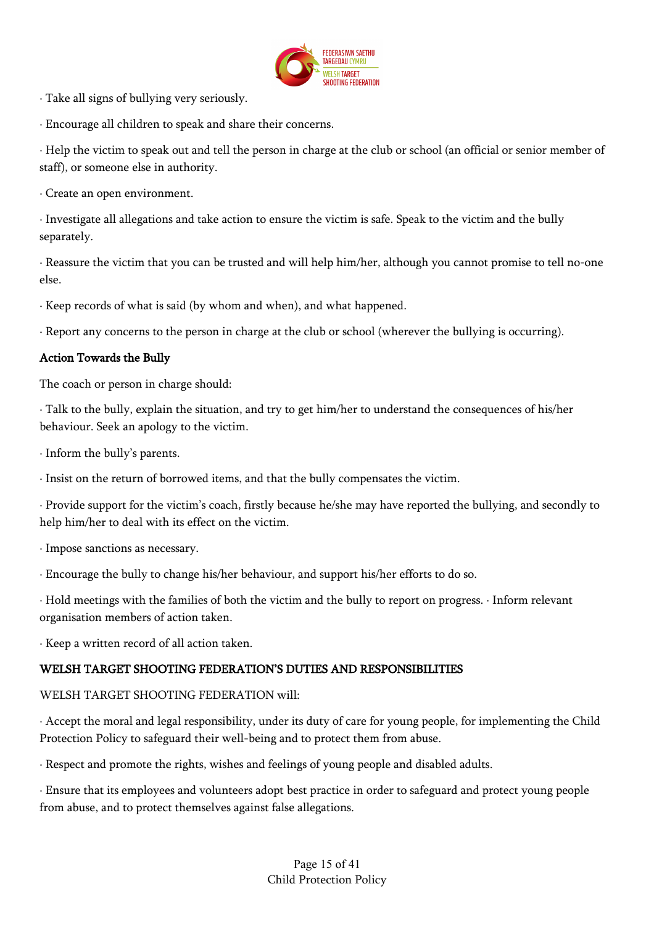

· Take all signs of bullying very seriously.

· Encourage all children to speak and share their concerns.

· Help the victim to speak out and tell the person in charge at the club or school (an official or senior member of staff), or someone else in authority.

· Create an open environment.

· Investigate all allegations and take action to ensure the victim is safe. Speak to the victim and the bully separately.

· Reassure the victim that you can be trusted and will help him/her, although you cannot promise to tell no-one else.

· Keep records of what is said (by whom and when), and what happened.

· Report any concerns to the person in charge at the club or school (wherever the bullying is occurring).

### Action Towards the Bully

The coach or person in charge should:

· Talk to the bully, explain the situation, and try to get him/her to understand the consequences of his/her behaviour. Seek an apology to the victim.

· Inform the bully's parents.

· Insist on the return of borrowed items, and that the bully compensates the victim.

· Provide support for the victim's coach, firstly because he/she may have reported the bullying, and secondly to help him/her to deal with its effect on the victim.

· Impose sanctions as necessary.

· Encourage the bully to change his/her behaviour, and support his/her efforts to do so.

· Hold meetings with the families of both the victim and the bully to report on progress. · Inform relevant organisation members of action taken.

· Keep a written record of all action taken.

## WELSH TARGET SHOOTING FEDERATION'S DUTIES AND RESPONSIBILITIES

WELSH TARGET SHOOTING FEDERATION will:

· Accept the moral and legal responsibility, under its duty of care for young people, for implementing the Child Protection Policy to safeguard their well-being and to protect them from abuse.

· Respect and promote the rights, wishes and feelings of young people and disabled adults.

· Ensure that its employees and volunteers adopt best practice in order to safeguard and protect young people from abuse, and to protect themselves against false allegations.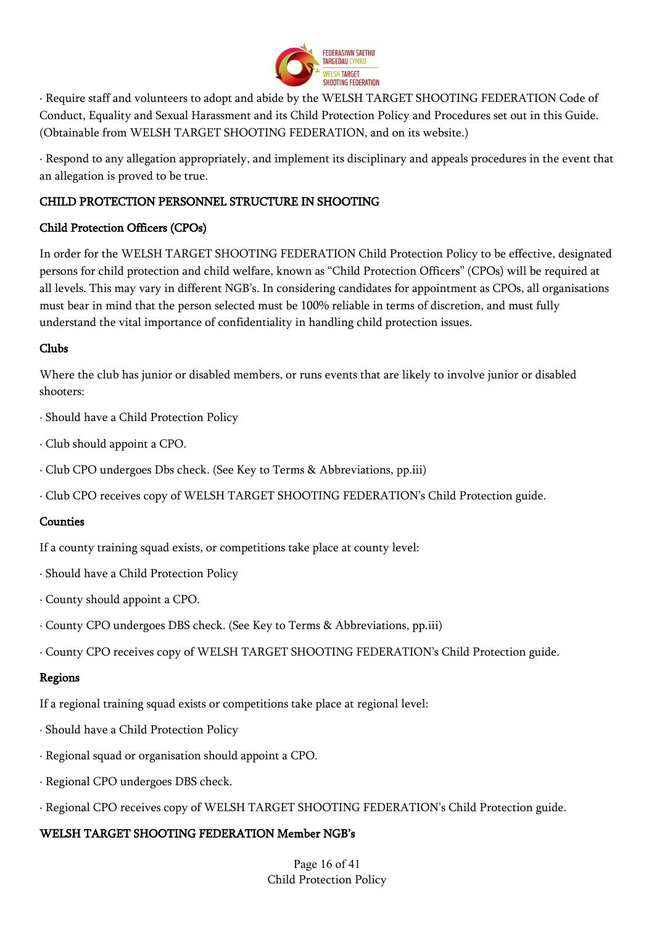

· Require staff and volunteers to adopt and abide by the WELSH TARGET SHOOTING FEDERATION Code of Conduct, Equality and Sexual Harassment and its Child Protection Policy and Procedures set out in this Guide. (Obtainable from WELSH TARGET SHOOTING FEDERATION, and on its website.)

· Respond to any allegation appropriately, and implement its disciplinary and appeals procedures in the event that an allegation is proved to be true.

## CHILD PROTECTION PERSONNEL STRUCTURE IN SHOOTING

## Child Protection Officers (CPOs)

In order for the WELSH TARGET SHOOTING FEDERATION Child Protection Policy to be effective, designated persons for child protection and child welfare, known as "Child Protection Officers" (CPOs) will be required at all levels. This may vary in different NGB's. In considering candidates for appointment as CPOs, all organisations must bear in mind that the person selected must be 100% reliable in terms of discretion, and must fully understand the vital importance of confidentiality in handling child protection issues.

## Clubs

Where the club has junior or disabled members, or runs events that are likely to involve junior or disabled shooters:

- · Should have a Child Protection Policy
- · Club should appoint a CPO.
- · Club CPO undergoes Dbs check. (See Key to Terms & Abbreviations, pp.iii)
- · Club CPO receives copy of WELSH TARGET SHOOTING FEDERATION's Child Protection guide.

## **Counties**

If a county training squad exists, or competitions take place at county level:

- · Should have a Child Protection Policy
- · County should appoint a CPO.
- · County CPO undergoes DBS check. (See Key to Terms & Abbreviations, pp.iii)
- · County CPO receives copy of WELSH TARGET SHOOTING FEDERATION's Child Protection guide.

## Regions

If a regional training squad exists or competitions take place at regional level:

- · Should have a Child Protection Policy
- · Regional squad or organisation should appoint a CPO.
- · Regional CPO undergoes DBS check.
- · Regional CPO receives copy of WELSH TARGET SHOOTING FEDERATION's Child Protection guide.

## WELSH TARGET SHOOTING FEDERATION Member NGB's

Page 16 of 41 Child Protection Policy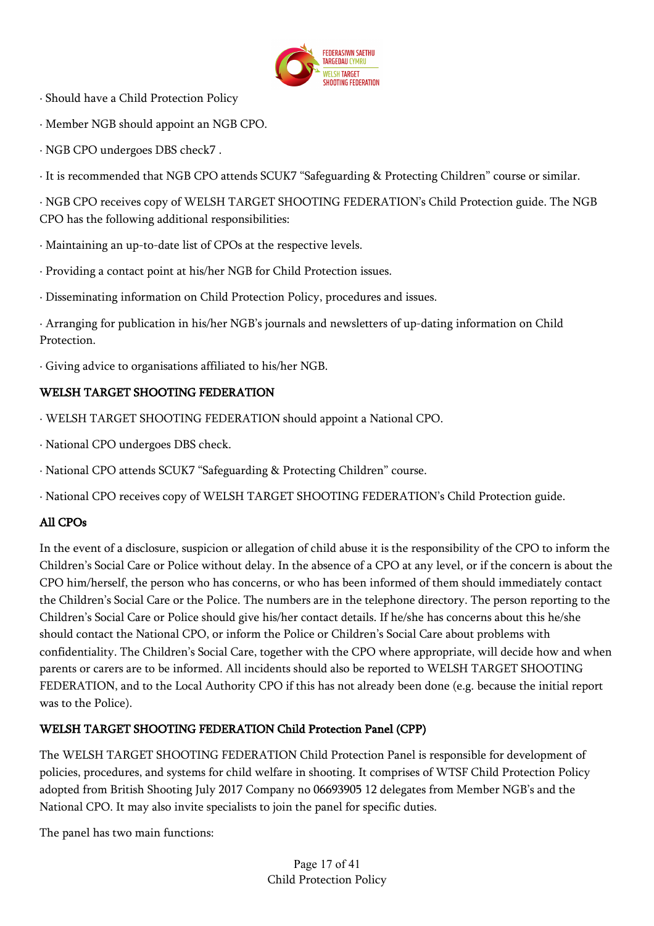

- · Should have a Child Protection Policy
- · Member NGB should appoint an NGB CPO.
- · NGB CPO undergoes DBS check7 .

· It is recommended that NGB CPO attends SCUK7 "Safeguarding & Protecting Children" course or similar.

· NGB CPO receives copy of WELSH TARGET SHOOTING FEDERATION's Child Protection guide. The NGB CPO has the following additional responsibilities:

· Maintaining an up-to-date list of CPOs at the respective levels.

- · Providing a contact point at his/her NGB for Child Protection issues.
- · Disseminating information on Child Protection Policy, procedures and issues.

· Arranging for publication in his/her NGB's journals and newsletters of up-dating information on Child Protection.

· Giving advice to organisations affiliated to his/her NGB.

## WELSH TARGET SHOOTING FEDERATION

- · WELSH TARGET SHOOTING FEDERATION should appoint a National CPO.
- · National CPO undergoes DBS check.
- · National CPO attends SCUK7 "Safeguarding & Protecting Children" course.

· National CPO receives copy of WELSH TARGET SHOOTING FEDERATION's Child Protection guide.

## All CPOs

In the event of a disclosure, suspicion or allegation of child abuse it is the responsibility of the CPO to inform the Children's Social Care or Police without delay. In the absence of a CPO at any level, or if the concern is about the CPO him/herself, the person who has concerns, or who has been informed of them should immediately contact the Children's Social Care or the Police. The numbers are in the telephone directory. The person reporting to the Children's Social Care or Police should give his/her contact details. If he/she has concerns about this he/she should contact the National CPO, or inform the Police or Children's Social Care about problems with confidentiality. The Children's Social Care, together with the CPO where appropriate, will decide how and when parents or carers are to be informed. All incidents should also be reported to WELSH TARGET SHOOTING FEDERATION, and to the Local Authority CPO if this has not already been done (e.g. because the initial report was to the Police).

## WELSH TARGET SHOOTING FEDERATION Child Protection Panel (CPP)

The WELSH TARGET SHOOTING FEDERATION Child Protection Panel is responsible for development of policies, procedures, and systems for child welfare in shooting. It comprises of WTSF Child Protection Policy adopted from British Shooting July 2017 Company no 06693905 12 delegates from Member NGB's and the National CPO. It may also invite specialists to join the panel for specific duties.

The panel has two main functions: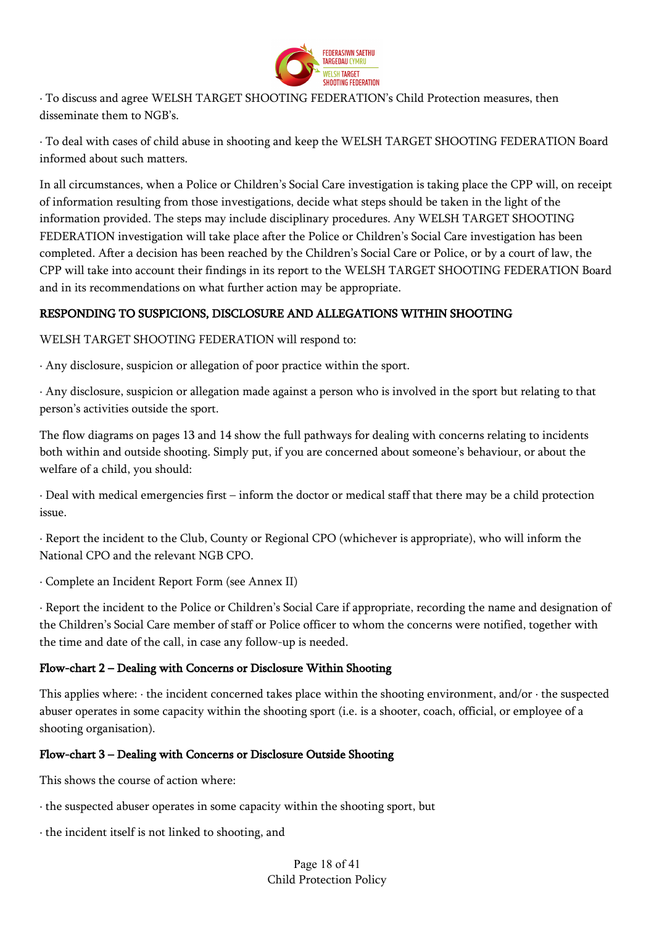

· To discuss and agree WELSH TARGET SHOOTING FEDERATION's Child Protection measures, then disseminate them to NGB's.

· To deal with cases of child abuse in shooting and keep the WELSH TARGET SHOOTING FEDERATION Board informed about such matters.

In all circumstances, when a Police or Children's Social Care investigation is taking place the CPP will, on receipt of information resulting from those investigations, decide what steps should be taken in the light of the information provided. The steps may include disciplinary procedures. Any WELSH TARGET SHOOTING FEDERATION investigation will take place after the Police or Children's Social Care investigation has been completed. After a decision has been reached by the Children's Social Care or Police, or by a court of law, the CPP will take into account their findings in its report to the WELSH TARGET SHOOTING FEDERATION Board and in its recommendations on what further action may be appropriate.

## RESPONDING TO SUSPICIONS, DISCLOSURE AND ALLEGATIONS WITHIN SHOOTING

WELSH TARGET SHOOTING FEDERATION will respond to:

· Any disclosure, suspicion or allegation of poor practice within the sport.

· Any disclosure, suspicion or allegation made against a person who is involved in the sport but relating to that person's activities outside the sport.

The flow diagrams on pages 13 and 14 show the full pathways for dealing with concerns relating to incidents both within and outside shooting. Simply put, if you are concerned about someone's behaviour, or about the welfare of a child, you should:

· Deal with medical emergencies first – inform the doctor or medical staff that there may be a child protection issue.

· Report the incident to the Club, County or Regional CPO (whichever is appropriate), who will inform the National CPO and the relevant NGB CPO.

· Complete an Incident Report Form (see Annex II)

· Report the incident to the Police or Children's Social Care if appropriate, recording the name and designation of the Children's Social Care member of staff or Police officer to whom the concerns were notified, together with the time and date of the call, in case any follow-up is needed.

## Flow-chart 2 – Dealing with Concerns or Disclosure Within Shooting

This applies where:  $\cdot$  the incident concerned takes place within the shooting environment, and/or  $\cdot$  the suspected abuser operates in some capacity within the shooting sport (i.e. is a shooter, coach, official, or employee of a shooting organisation).

## Flow-chart 3 – Dealing with Concerns or Disclosure Outside Shooting

This shows the course of action where:

- · the suspected abuser operates in some capacity within the shooting sport, but
- · the incident itself is not linked to shooting, and

Page 18 of 41 Child Protection Policy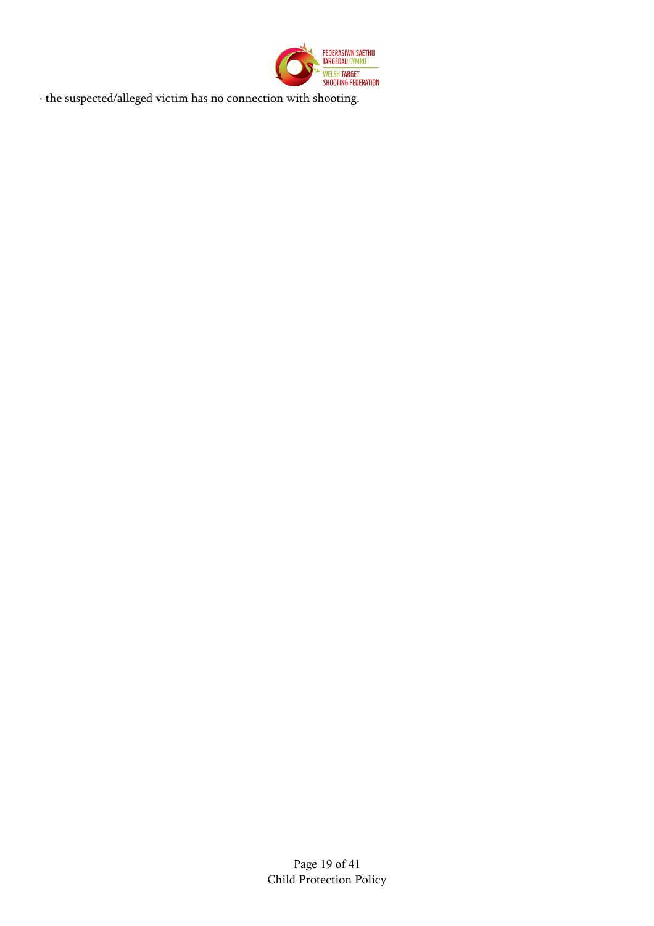

· the suspected/alleged victim has no connection with shooting.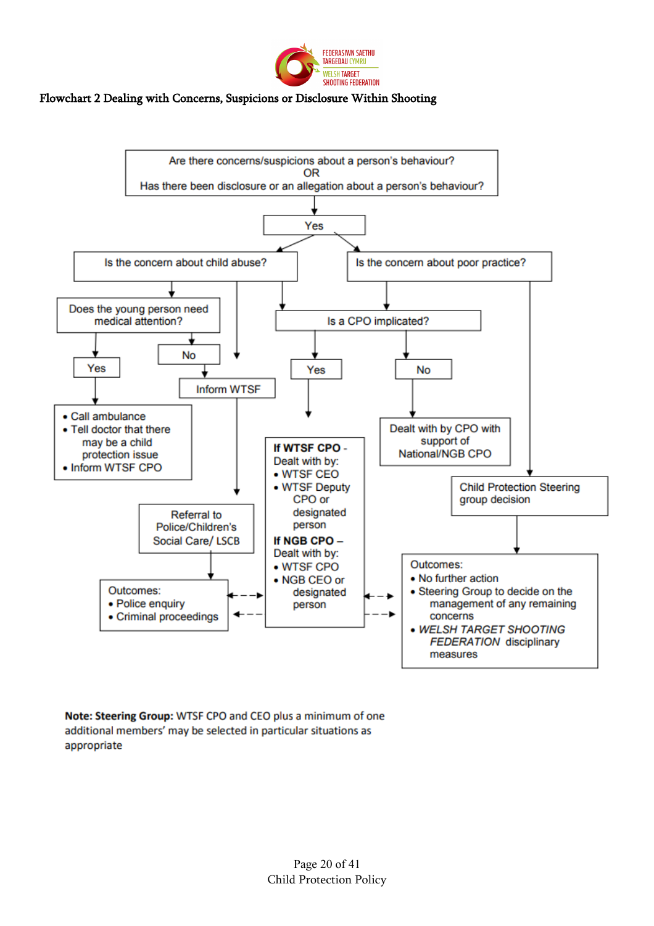

#### Flowchart 2 Dealing with Concerns, Suspicions or Disclosure Within Shooting



Note: Steering Group: WTSF CPO and CEO plus a minimum of one additional members' may be selected in particular situations as appropriate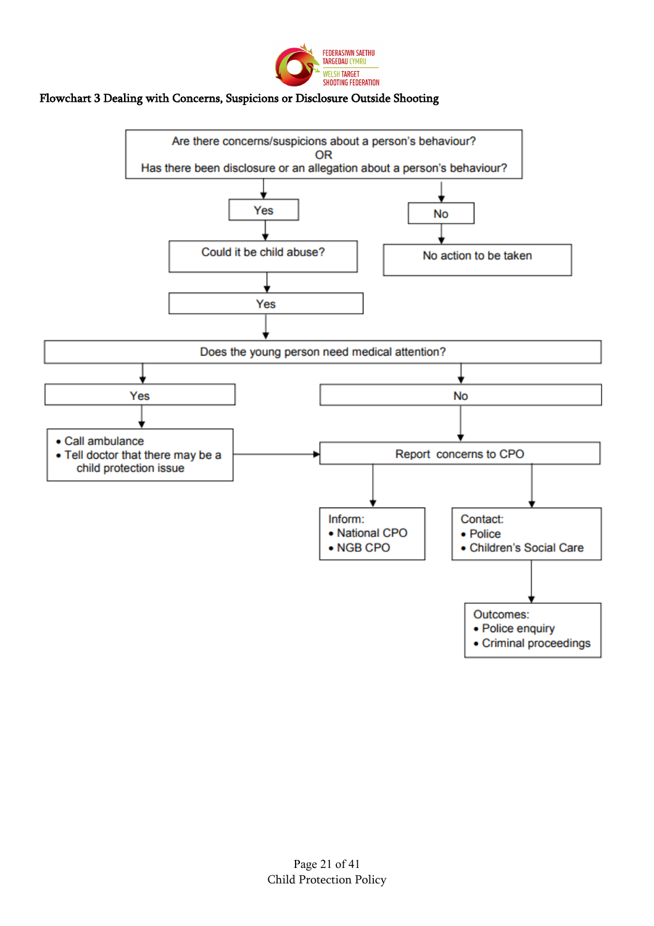

### Flowchart 3 Dealing with Concerns, Suspicions or Disclosure Outside Shooting

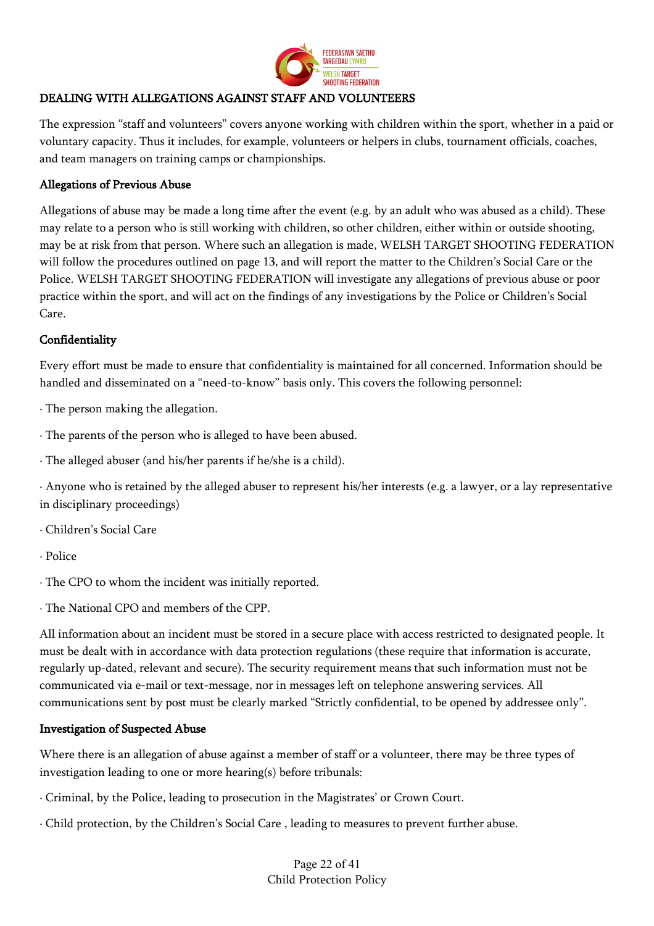

## DEALING WITH ALLEGATIONS AGAINST STAFF AND VOLUNTEERS

The expression "staff and volunteers" covers anyone working with children within the sport, whether in a paid or voluntary capacity. Thus it includes, for example, volunteers or helpers in clubs, tournament officials, coaches, and team managers on training camps or championships.

### Allegations of Previous Abuse

Allegations of abuse may be made a long time after the event (e.g. by an adult who was abused as a child). These may relate to a person who is still working with children, so other children, either within or outside shooting, may be at risk from that person. Where such an allegation is made, WELSH TARGET SHOOTING FEDERATION will follow the procedures outlined on page 13, and will report the matter to the Children's Social Care or the Police. WELSH TARGET SHOOTING FEDERATION will investigate any allegations of previous abuse or poor practice within the sport, and will act on the findings of any investigations by the Police or Children's Social Care.

### **Confidentiality**

Every effort must be made to ensure that confidentiality is maintained for all concerned. Information should be handled and disseminated on a "need-to-know" basis only. This covers the following personnel:

· The person making the allegation.

- · The parents of the person who is alleged to have been abused.
- · The alleged abuser (and his/her parents if he/she is a child).

· Anyone who is retained by the alleged abuser to represent his/her interests (e.g. a lawyer, or a lay representative in disciplinary proceedings)

- · Children's Social Care
- · Police
- · The CPO to whom the incident was initially reported.
- · The National CPO and members of the CPP.

All information about an incident must be stored in a secure place with access restricted to designated people. It must be dealt with in accordance with data protection regulations (these require that information is accurate, regularly up-dated, relevant and secure). The security requirement means that such information must not be communicated via e-mail or text-message, nor in messages left on telephone answering services. All communications sent by post must be clearly marked "Strictly confidential, to be opened by addressee only".

#### Investigation of Suspected Abuse

Where there is an allegation of abuse against a member of staff or a volunteer, there may be three types of investigation leading to one or more hearing(s) before tribunals:

- · Criminal, by the Police, leading to prosecution in the Magistrates' or Crown Court.
- · Child protection, by the Children's Social Care , leading to measures to prevent further abuse.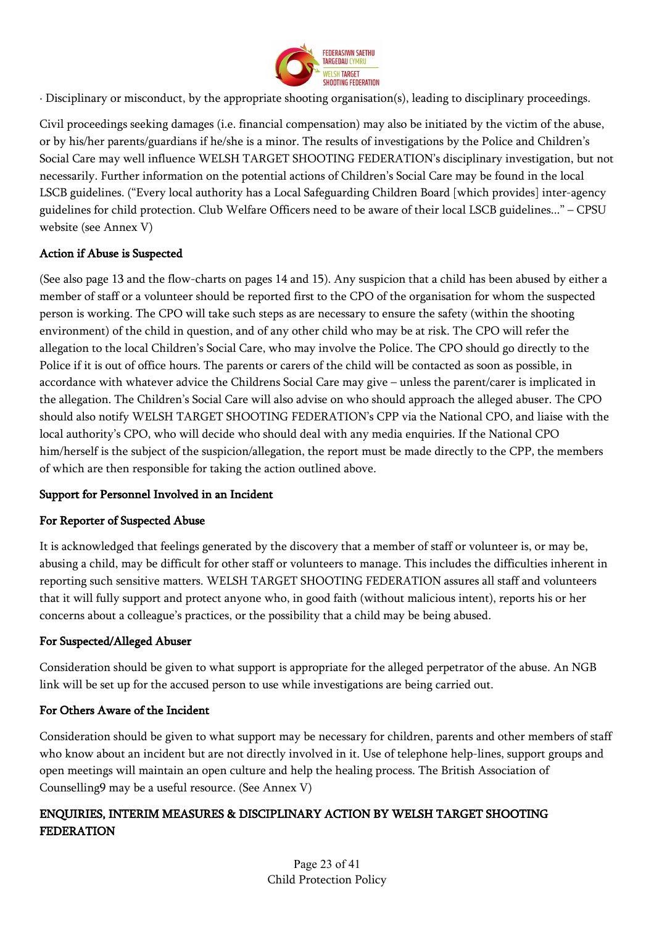

· Disciplinary or misconduct, by the appropriate shooting organisation(s), leading to disciplinary proceedings.

Civil proceedings seeking damages (i.e. financial compensation) may also be initiated by the victim of the abuse, or by his/her parents/guardians if he/she is a minor. The results of investigations by the Police and Children's Social Care may well influence WELSH TARGET SHOOTING FEDERATION's disciplinary investigation, but not necessarily. Further information on the potential actions of Children's Social Care may be found in the local LSCB guidelines. ("Every local authority has a Local Safeguarding Children Board [which provides] inter-agency guidelines for child protection. Club Welfare Officers need to be aware of their local LSCB guidelines..." – CPSU website (see Annex V)

## Action if Abuse is Suspected

(See also page 13 and the flow-charts on pages 14 and 15). Any suspicion that a child has been abused by either a member of staff or a volunteer should be reported first to the CPO of the organisation for whom the suspected person is working. The CPO will take such steps as are necessary to ensure the safety (within the shooting environment) of the child in question, and of any other child who may be at risk. The CPO will refer the allegation to the local Children's Social Care, who may involve the Police. The CPO should go directly to the Police if it is out of office hours. The parents or carers of the child will be contacted as soon as possible, in accordance with whatever advice the Childrens Social Care may give – unless the parent/carer is implicated in the allegation. The Children's Social Care will also advise on who should approach the alleged abuser. The CPO should also notify WELSH TARGET SHOOTING FEDERATION's CPP via the National CPO, and liaise with the local authority's CPO, who will decide who should deal with any media enquiries. If the National CPO him/herself is the subject of the suspicion/allegation, the report must be made directly to the CPP, the members of which are then responsible for taking the action outlined above.

## Support for Personnel Involved in an Incident

## For Reporter of Suspected Abuse

It is acknowledged that feelings generated by the discovery that a member of staff or volunteer is, or may be, abusing a child, may be difficult for other staff or volunteers to manage. This includes the difficulties inherent in reporting such sensitive matters. WELSH TARGET SHOOTING FEDERATION assures all staff and volunteers that it will fully support and protect anyone who, in good faith (without malicious intent), reports his or her concerns about a colleague's practices, or the possibility that a child may be being abused.

## For Suspected/Alleged Abuser

Consideration should be given to what support is appropriate for the alleged perpetrator of the abuse. An NGB link will be set up for the accused person to use while investigations are being carried out.

## For Others Aware of the Incident

Consideration should be given to what support may be necessary for children, parents and other members of staff who know about an incident but are not directly involved in it. Use of telephone help-lines, support groups and open meetings will maintain an open culture and help the healing process. The British Association of Counselling9 may be a useful resource. (See Annex V)

## ENQUIRIES, INTERIM MEASURES & DISCIPLINARY ACTION BY WELSH TARGET SHOOTING **FEDERATION**

Page 23 of 41 Child Protection Policy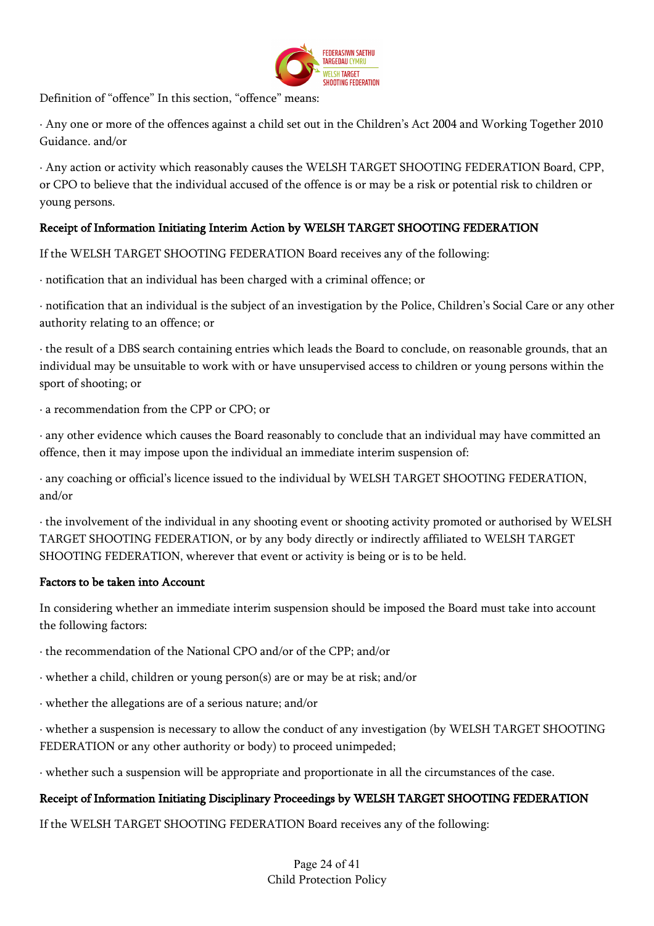

Definition of "offence" In this section, "offence" means:

· Any one or more of the offences against a child set out in the Children's Act 2004 and Working Together 2010 Guidance. and/or

· Any action or activity which reasonably causes the WELSH TARGET SHOOTING FEDERATION Board, CPP, or CPO to believe that the individual accused of the offence is or may be a risk or potential risk to children or young persons.

## Receipt of Information Initiating Interim Action by WELSH TARGET SHOOTING FEDERATION

If the WELSH TARGET SHOOTING FEDERATION Board receives any of the following:

· notification that an individual has been charged with a criminal offence; or

· notification that an individual is the subject of an investigation by the Police, Children's Social Care or any other authority relating to an offence; or

· the result of a DBS search containing entries which leads the Board to conclude, on reasonable grounds, that an individual may be unsuitable to work with or have unsupervised access to children or young persons within the sport of shooting; or

· a recommendation from the CPP or CPO; or

· any other evidence which causes the Board reasonably to conclude that an individual may have committed an offence, then it may impose upon the individual an immediate interim suspension of:

· any coaching or official's licence issued to the individual by WELSH TARGET SHOOTING FEDERATION, and/or

· the involvement of the individual in any shooting event or shooting activity promoted or authorised by WELSH TARGET SHOOTING FEDERATION, or by any body directly or indirectly affiliated to WELSH TARGET SHOOTING FEDERATION, wherever that event or activity is being or is to be held.

#### Factors to be taken into Account

In considering whether an immediate interim suspension should be imposed the Board must take into account the following factors:

· the recommendation of the National CPO and/or of the CPP; and/or

· whether a child, children or young person(s) are or may be at risk; and/or

· whether the allegations are of a serious nature; and/or

· whether a suspension is necessary to allow the conduct of any investigation (by WELSH TARGET SHOOTING FEDERATION or any other authority or body) to proceed unimpeded;

· whether such a suspension will be appropriate and proportionate in all the circumstances of the case.

## Receipt of Information Initiating Disciplinary Proceedings by WELSH TARGET SHOOTING FEDERATION

If the WELSH TARGET SHOOTING FEDERATION Board receives any of the following: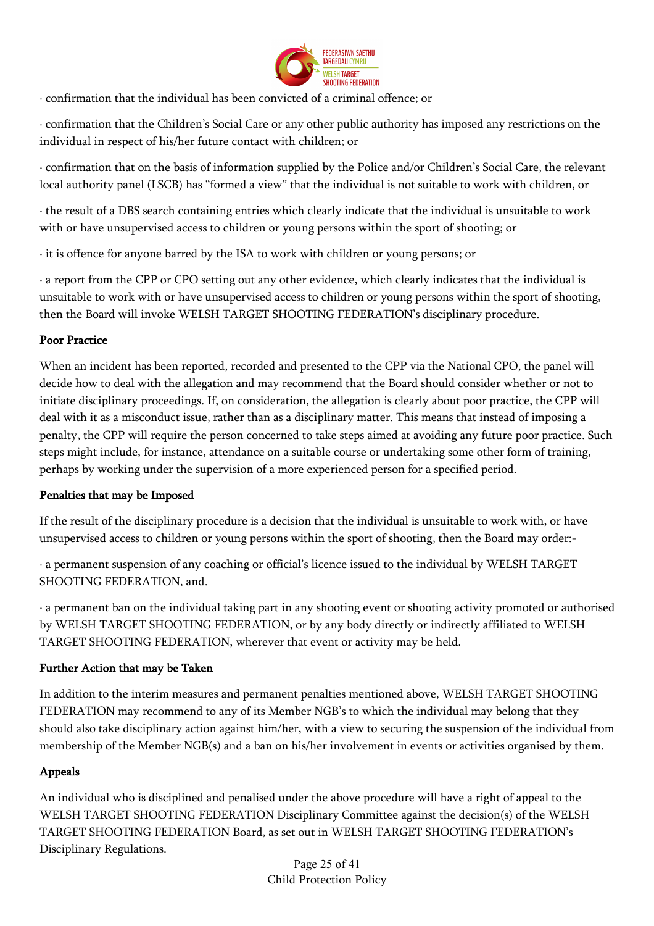

· confirmation that the individual has been convicted of a criminal offence; or

· confirmation that the Children's Social Care or any other public authority has imposed any restrictions on the individual in respect of his/her future contact with children; or

· confirmation that on the basis of information supplied by the Police and/or Children's Social Care, the relevant local authority panel (LSCB) has "formed a view" that the individual is not suitable to work with children, or

· the result of a DBS search containing entries which clearly indicate that the individual is unsuitable to work with or have unsupervised access to children or young persons within the sport of shooting; or

· it is offence for anyone barred by the ISA to work with children or young persons; or

· a report from the CPP or CPO setting out any other evidence, which clearly indicates that the individual is unsuitable to work with or have unsupervised access to children or young persons within the sport of shooting, then the Board will invoke WELSH TARGET SHOOTING FEDERATION's disciplinary procedure.

## Poor Practice

When an incident has been reported, recorded and presented to the CPP via the National CPO, the panel will decide how to deal with the allegation and may recommend that the Board should consider whether or not to initiate disciplinary proceedings. If, on consideration, the allegation is clearly about poor practice, the CPP will deal with it as a misconduct issue, rather than as a disciplinary matter. This means that instead of imposing a penalty, the CPP will require the person concerned to take steps aimed at avoiding any future poor practice. Such steps might include, for instance, attendance on a suitable course or undertaking some other form of training, perhaps by working under the supervision of a more experienced person for a specified period.

## Penalties that may be Imposed

If the result of the disciplinary procedure is a decision that the individual is unsuitable to work with, or have unsupervised access to children or young persons within the sport of shooting, then the Board may order:-

· a permanent suspension of any coaching or official's licence issued to the individual by WELSH TARGET SHOOTING FEDERATION, and.

· a permanent ban on the individual taking part in any shooting event or shooting activity promoted or authorised by WELSH TARGET SHOOTING FEDERATION, or by any body directly or indirectly affiliated to WELSH TARGET SHOOTING FEDERATION, wherever that event or activity may be held.

## Further Action that may be Taken

In addition to the interim measures and permanent penalties mentioned above, WELSH TARGET SHOOTING FEDERATION may recommend to any of its Member NGB's to which the individual may belong that they should also take disciplinary action against him/her, with a view to securing the suspension of the individual from membership of the Member NGB(s) and a ban on his/her involvement in events or activities organised by them.

## Appeals

An individual who is disciplined and penalised under the above procedure will have a right of appeal to the WELSH TARGET SHOOTING FEDERATION Disciplinary Committee against the decision(s) of the WELSH TARGET SHOOTING FEDERATION Board, as set out in WELSH TARGET SHOOTING FEDERATION's Disciplinary Regulations.

Page 25 of 41 Child Protection Policy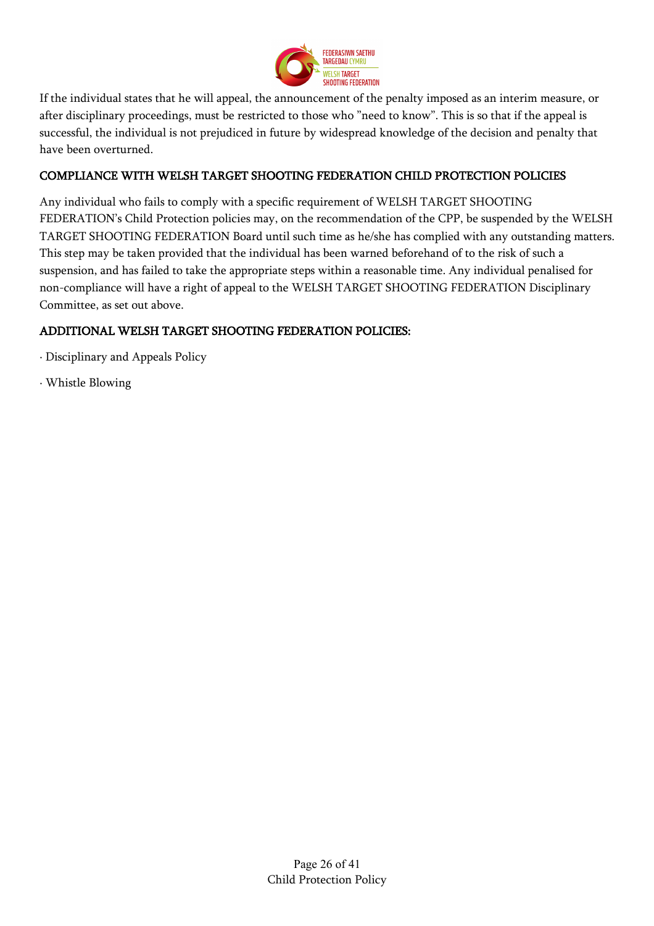

If the individual states that he will appeal, the announcement of the penalty imposed as an interim measure, or after disciplinary proceedings, must be restricted to those who "need to know". This is so that if the appeal is successful, the individual is not prejudiced in future by widespread knowledge of the decision and penalty that have been overturned.

## COMPLIANCE WITH WELSH TARGET SHOOTING FEDERATION CHILD PROTECTION POLICIES

Any individual who fails to comply with a specific requirement of WELSH TARGET SHOOTING FEDERATION's Child Protection policies may, on the recommendation of the CPP, be suspended by the WELSH TARGET SHOOTING FEDERATION Board until such time as he/she has complied with any outstanding matters. This step may be taken provided that the individual has been warned beforehand of to the risk of such a suspension, and has failed to take the appropriate steps within a reasonable time. Any individual penalised for non-compliance will have a right of appeal to the WELSH TARGET SHOOTING FEDERATION Disciplinary Committee, as set out above.

## ADDITIONAL WELSH TARGET SHOOTING FEDERATION POLICIES:

- · Disciplinary and Appeals Policy
- · Whistle Blowing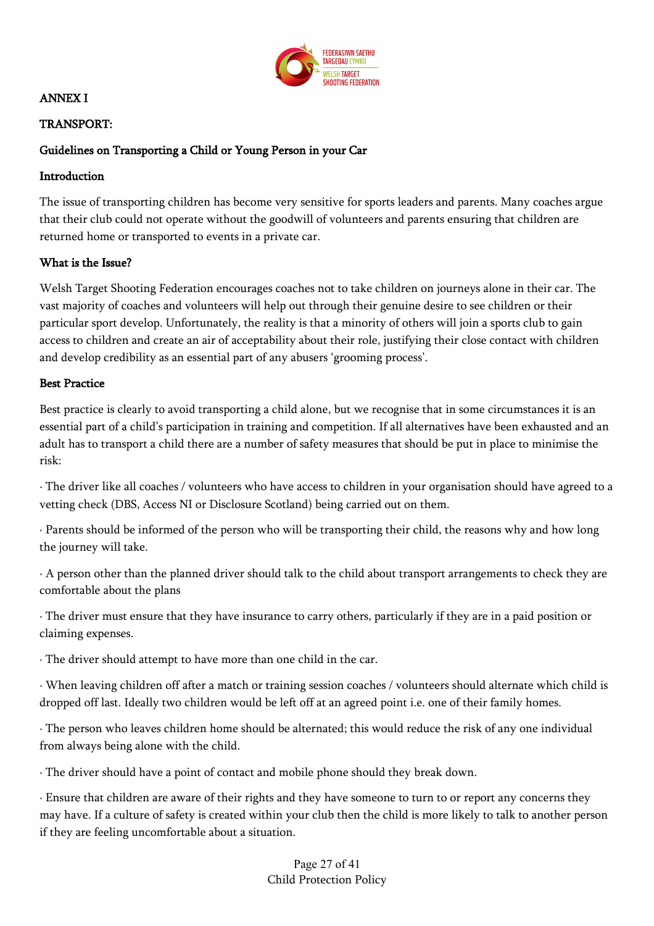

## ANNEX I

### TRANSPORT:

### Guidelines on Transporting a Child or Young Person in your Car

#### Introduction

The issue of transporting children has become very sensitive for sports leaders and parents. Many coaches argue that their club could not operate without the goodwill of volunteers and parents ensuring that children are returned home or transported to events in a private car.

### What is the Issue?

Welsh Target Shooting Federation encourages coaches not to take children on journeys alone in their car. The vast majority of coaches and volunteers will help out through their genuine desire to see children or their particular sport develop. Unfortunately, the reality is that a minority of others will join a sports club to gain access to children and create an air of acceptability about their role, justifying their close contact with children and develop credibility as an essential part of any abusers 'grooming process'.

#### Best Practice

Best practice is clearly to avoid transporting a child alone, but we recognise that in some circumstances it is an essential part of a child's participation in training and competition. If all alternatives have been exhausted and an adult has to transport a child there are a number of safety measures that should be put in place to minimise the risk:

· The driver like all coaches / volunteers who have access to children in your organisation should have agreed to a vetting check (DBS, Access NI or Disclosure Scotland) being carried out on them.

· Parents should be informed of the person who will be transporting their child, the reasons why and how long the journey will take.

· A person other than the planned driver should talk to the child about transport arrangements to check they are comfortable about the plans

· The driver must ensure that they have insurance to carry others, particularly if they are in a paid position or claiming expenses.

· The driver should attempt to have more than one child in the car.

· When leaving children off after a match or training session coaches / volunteers should alternate which child is dropped off last. Ideally two children would be left off at an agreed point i.e. one of their family homes.

· The person who leaves children home should be alternated; this would reduce the risk of any one individual from always being alone with the child.

· The driver should have a point of contact and mobile phone should they break down.

· Ensure that children are aware of their rights and they have someone to turn to or report any concerns they may have. If a culture of safety is created within your club then the child is more likely to talk to another person if they are feeling uncomfortable about a situation.

> Page 27 of 41 Child Protection Policy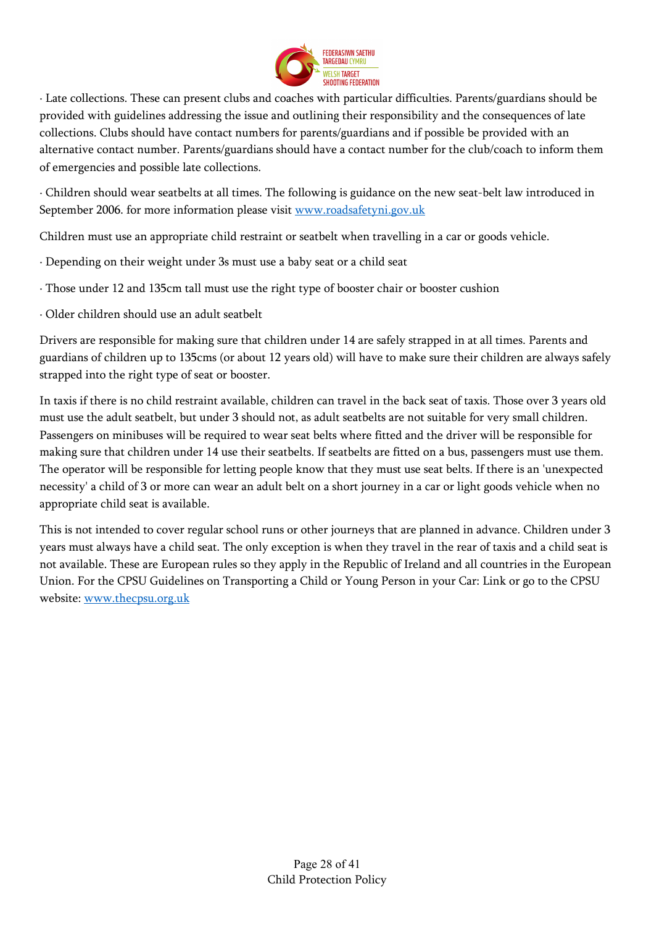

· Late collections. These can present clubs and coaches with particular difficulties. Parents/guardians should be provided with guidelines addressing the issue and outlining their responsibility and the consequences of late collections. Clubs should have contact numbers for parents/guardians and if possible be provided with an alternative contact number. Parents/guardians should have a contact number for the club/coach to inform them of emergencies and possible late collections.

· Children should wear seatbelts at all times. The following is guidance on the new seat-belt law introduced in September 2006. for more information please visit www.roadsafetyni.gov.uk

Children must use an appropriate child restraint or seatbelt when travelling in a car or goods vehicle.

- · Depending on their weight under 3s must use a baby seat or a child seat
- · Those under 12 and 135cm tall must use the right type of booster chair or booster cushion
- · Older children should use an adult seatbelt

Drivers are responsible for making sure that children under 14 are safely strapped in at all times. Parents and guardians of children up to 135cms (or about 12 years old) will have to make sure their children are always safely strapped into the right type of seat or booster.

In taxis if there is no child restraint available, children can travel in the back seat of taxis. Those over 3 years old must use the adult seatbelt, but under 3 should not, as adult seatbelts are not suitable for very small children. Passengers on minibuses will be required to wear seat belts where fitted and the driver will be responsible for making sure that children under 14 use their seatbelts. If seatbelts are fitted on a bus, passengers must use them. The operator will be responsible for letting people know that they must use seat belts. If there is an 'unexpected necessity' a child of 3 or more can wear an adult belt on a short journey in a car or light goods vehicle when no appropriate child seat is available.

This is not intended to cover regular school runs or other journeys that are planned in advance. Children under 3 years must always have a child seat. The only exception is when they travel in the rear of taxis and a child seat is not available. These are European rules so they apply in the Republic of Ireland and all countries in the European Union. For the CPSU Guidelines on Transporting a Child or Young Person in your Car: Link or go to the CPSU website: www.thecpsu.org.uk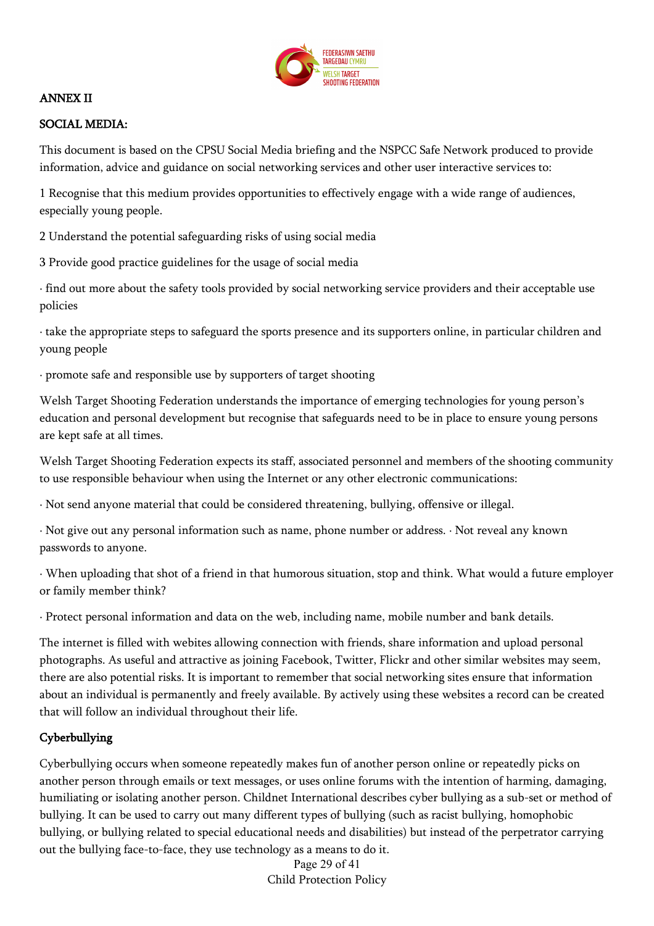

### ANNEX II

### SOCIAL MEDIA:

This document is based on the CPSU Social Media briefing and the NSPCC Safe Network produced to provide information, advice and guidance on social networking services and other user interactive services to:

1 Recognise that this medium provides opportunities to effectively engage with a wide range of audiences, especially young people.

2 Understand the potential safeguarding risks of using social media

3 Provide good practice guidelines for the usage of social media

· find out more about the safety tools provided by social networking service providers and their acceptable use policies

· take the appropriate steps to safeguard the sports presence and its supporters online, in particular children and young people

· promote safe and responsible use by supporters of target shooting

Welsh Target Shooting Federation understands the importance of emerging technologies for young person's education and personal development but recognise that safeguards need to be in place to ensure young persons are kept safe at all times.

Welsh Target Shooting Federation expects its staff, associated personnel and members of the shooting community to use responsible behaviour when using the Internet or any other electronic communications:

· Not send anyone material that could be considered threatening, bullying, offensive or illegal.

· Not give out any personal information such as name, phone number or address. · Not reveal any known passwords to anyone.

· When uploading that shot of a friend in that humorous situation, stop and think. What would a future employer or family member think?

· Protect personal information and data on the web, including name, mobile number and bank details.

The internet is filled with webites allowing connection with friends, share information and upload personal photographs. As useful and attractive as joining Facebook, Twitter, Flickr and other similar websites may seem, there are also potential risks. It is important to remember that social networking sites ensure that information about an individual is permanently and freely available. By actively using these websites a record can be created that will follow an individual throughout their life.

## Cyberbullying

Cyberbullying occurs when someone repeatedly makes fun of another person online or repeatedly picks on another person through emails or text messages, or uses online forums with the intention of harming, damaging, humiliating or isolating another person. Childnet International describes cyber bullying as a sub-set or method of bullying. It can be used to carry out many different types of bullying (such as racist bullying, homophobic bullying, or bullying related to special educational needs and disabilities) but instead of the perpetrator carrying out the bullying face-to-face, they use technology as a means to do it.

Page 29 of 41 Child Protection Policy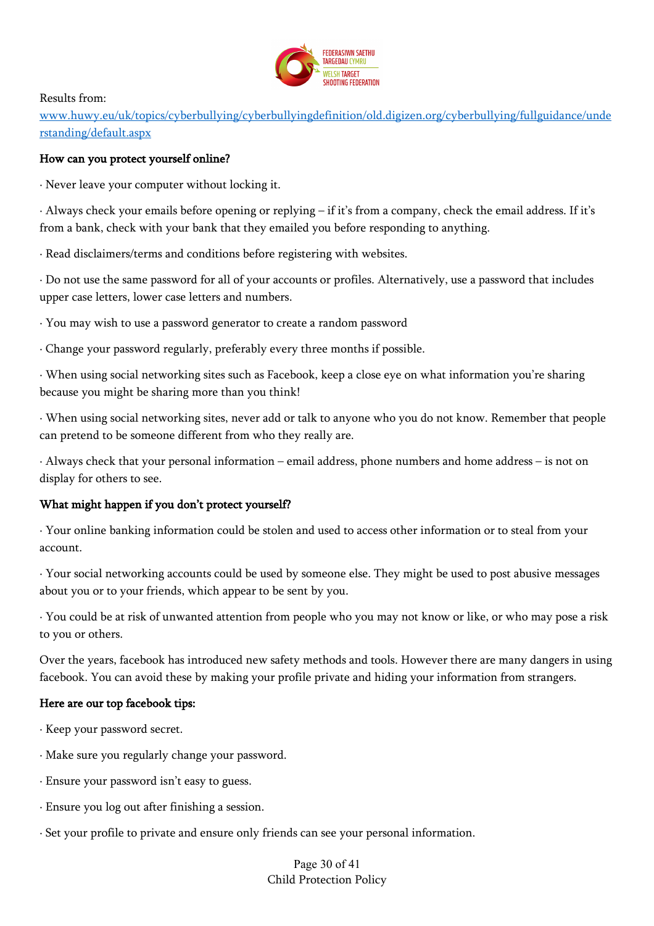

Results from:

www.huwy.eu/uk/topics/cyberbullying/cyberbullyingdefinition/old.digizen.org/cyberbullying/fullguidance/unde rstanding/default.aspx

### How can you protect yourself online?

· Never leave your computer without locking it.

· Always check your emails before opening or replying – if it's from a company, check the email address. If it's from a bank, check with your bank that they emailed you before responding to anything.

· Read disclaimers/terms and conditions before registering with websites.

· Do not use the same password for all of your accounts or profiles. Alternatively, use a password that includes upper case letters, lower case letters and numbers.

· You may wish to use a password generator to create a random password

· Change your password regularly, preferably every three months if possible.

· When using social networking sites such as Facebook, keep a close eye on what information you're sharing because you might be sharing more than you think!

· When using social networking sites, never add or talk to anyone who you do not know. Remember that people can pretend to be someone different from who they really are.

· Always check that your personal information – email address, phone numbers and home address – is not on display for others to see.

## What might happen if you don't protect yourself?

· Your online banking information could be stolen and used to access other information or to steal from your account.

· Your social networking accounts could be used by someone else. They might be used to post abusive messages about you or to your friends, which appear to be sent by you.

· You could be at risk of unwanted attention from people who you may not know or like, or who may pose a risk to you or others.

Over the years, facebook has introduced new safety methods and tools. However there are many dangers in using facebook. You can avoid these by making your profile private and hiding your information from strangers.

## Here are our top facebook tips:

· Keep your password secret.

- · Make sure you regularly change your password.
- · Ensure your password isn't easy to guess.
- · Ensure you log out after finishing a session.
- · Set your profile to private and ensure only friends can see your personal information.

Page 30 of 41 Child Protection Policy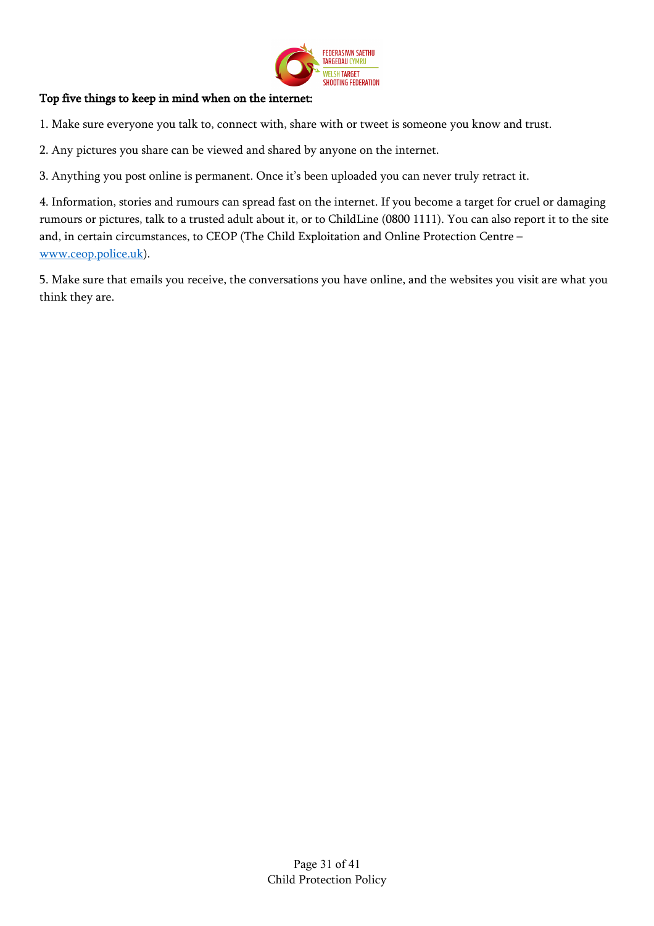

## Top five things to keep in mind when on the internet:

1. Make sure everyone you talk to, connect with, share with or tweet is someone you know and trust.

2. Any pictures you share can be viewed and shared by anyone on the internet.

3. Anything you post online is permanent. Once it's been uploaded you can never truly retract it.

4. Information, stories and rumours can spread fast on the internet. If you become a target for cruel or damaging rumours or pictures, talk to a trusted adult about it, or to ChildLine (0800 1111). You can also report it to the site and, in certain circumstances, to CEOP (The Child Exploitation and Online Protection Centre – www.ceop.police.uk).

5. Make sure that emails you receive, the conversations you have online, and the websites you visit are what you think they are.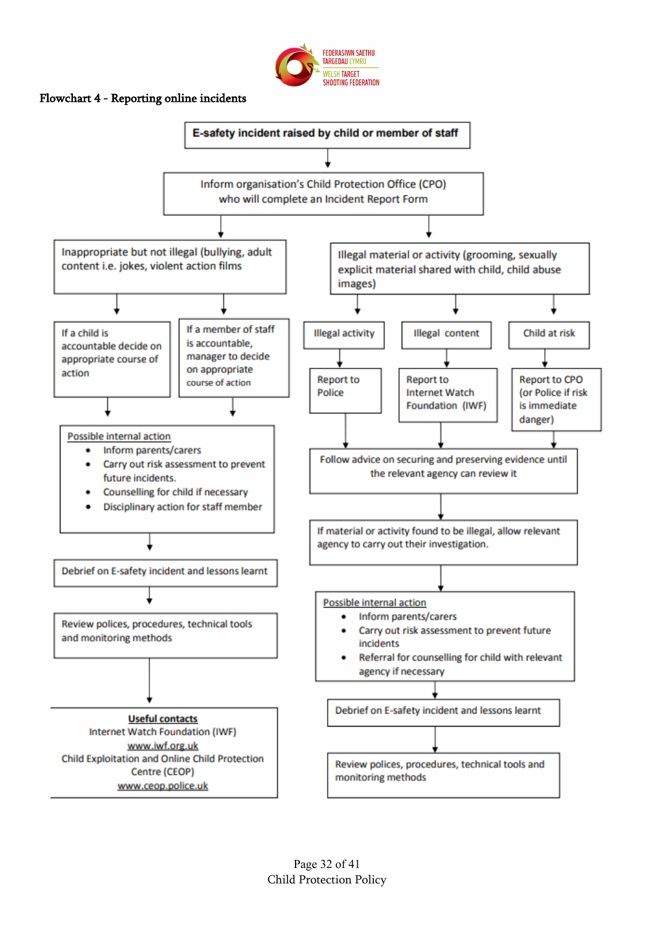

### Flowchart 4 - Reporting online incidents

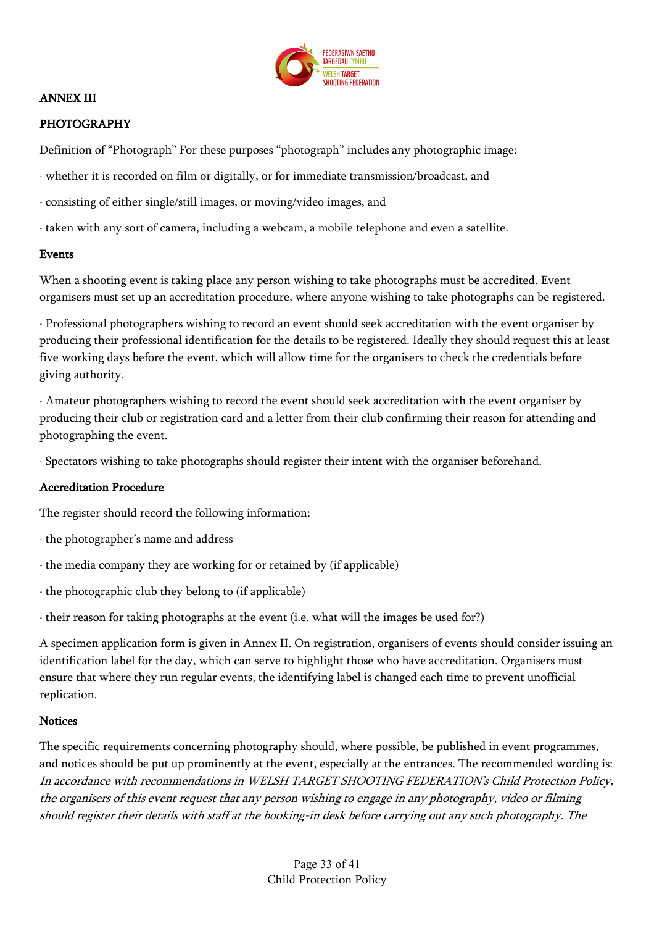

### ANNEX III

### PHOTOGRAPHY

Definition of "Photograph" For these purposes "photograph" includes any photographic image:

- · whether it is recorded on film or digitally, or for immediate transmission/broadcast, and
- · consisting of either single/still images, or moving/video images, and
- · taken with any sort of camera, including a webcam, a mobile telephone and even a satellite.

#### Events

When a shooting event is taking place any person wishing to take photographs must be accredited. Event organisers must set up an accreditation procedure, where anyone wishing to take photographs can be registered.

· Professional photographers wishing to record an event should seek accreditation with the event organiser by producing their professional identification for the details to be registered. Ideally they should request this at least five working days before the event, which will allow time for the organisers to check the credentials before giving authority.

· Amateur photographers wishing to record the event should seek accreditation with the event organiser by producing their club or registration card and a letter from their club confirming their reason for attending and photographing the event.

· Spectators wishing to take photographs should register their intent with the organiser beforehand.

#### Accreditation Procedure

The register should record the following information:

- · the photographer's name and address
- · the media company they are working for or retained by (if applicable)
- · the photographic club they belong to (if applicable)
- · their reason for taking photographs at the event (i.e. what will the images be used for?)

A specimen application form is given in Annex II. On registration, organisers of events should consider issuing an identification label for the day, which can serve to highlight those who have accreditation. Organisers must ensure that where they run regular events, the identifying label is changed each time to prevent unofficial replication.

#### **Notices**

The specific requirements concerning photography should, where possible, be published in event programmes, and notices should be put up prominently at the event, especially at the entrances. The recommended wording is: In accordance with recommendations in WELSH TARGET SHOOTING FEDERATION's Child Protection Policy, the organisers of this event request that any person wishing to engage in any photography, video or filming should register their details with staff at the booking-in desk before carrying out any such photography. The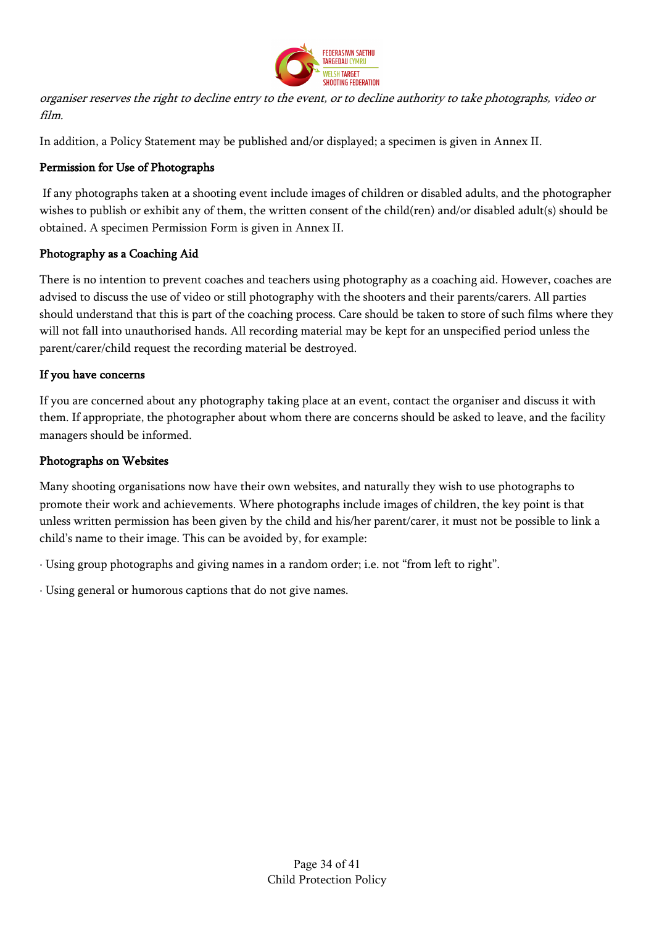

organiser reserves the right to decline entry to the event, or to decline authority to take photographs, video or film.

In addition, a Policy Statement may be published and/or displayed; a specimen is given in Annex II.

## Permission for Use of Photographs

If any photographs taken at a shooting event include images of children or disabled adults, and the photographer wishes to publish or exhibit any of them, the written consent of the child(ren) and/or disabled adult(s) should be obtained. A specimen Permission Form is given in Annex II.

## Photography as a Coaching Aid

There is no intention to prevent coaches and teachers using photography as a coaching aid. However, coaches are advised to discuss the use of video or still photography with the shooters and their parents/carers. All parties should understand that this is part of the coaching process. Care should be taken to store of such films where they will not fall into unauthorised hands. All recording material may be kept for an unspecified period unless the parent/carer/child request the recording material be destroyed.

## If you have concerns

If you are concerned about any photography taking place at an event, contact the organiser and discuss it with them. If appropriate, the photographer about whom there are concerns should be asked to leave, and the facility managers should be informed.

## Photographs on Websites

Many shooting organisations now have their own websites, and naturally they wish to use photographs to promote their work and achievements. Where photographs include images of children, the key point is that unless written permission has been given by the child and his/her parent/carer, it must not be possible to link a child's name to their image. This can be avoided by, for example:

· Using group photographs and giving names in a random order; i.e. not "from left to right".

· Using general or humorous captions that do not give names.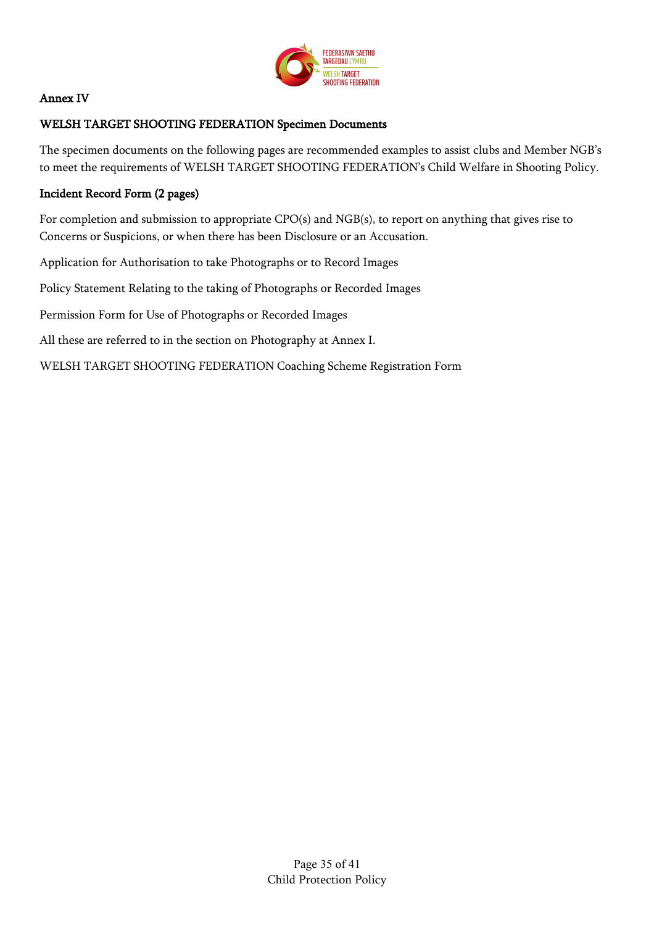

## Annex IV

## WELSH TARGET SHOOTING FEDERATION Specimen Documents

The specimen documents on the following pages are recommended examples to assist clubs and Member NGB's to meet the requirements of WELSH TARGET SHOOTING FEDERATION's Child Welfare in Shooting Policy.

## Incident Record Form (2 pages)

For completion and submission to appropriate CPO(s) and NGB(s), to report on anything that gives rise to Concerns or Suspicions, or when there has been Disclosure or an Accusation.

Application for Authorisation to take Photographs or to Record Images

Policy Statement Relating to the taking of Photographs or Recorded Images

Permission Form for Use of Photographs or Recorded Images

All these are referred to in the section on Photography at Annex I.

WELSH TARGET SHOOTING FEDERATION Coaching Scheme Registration Form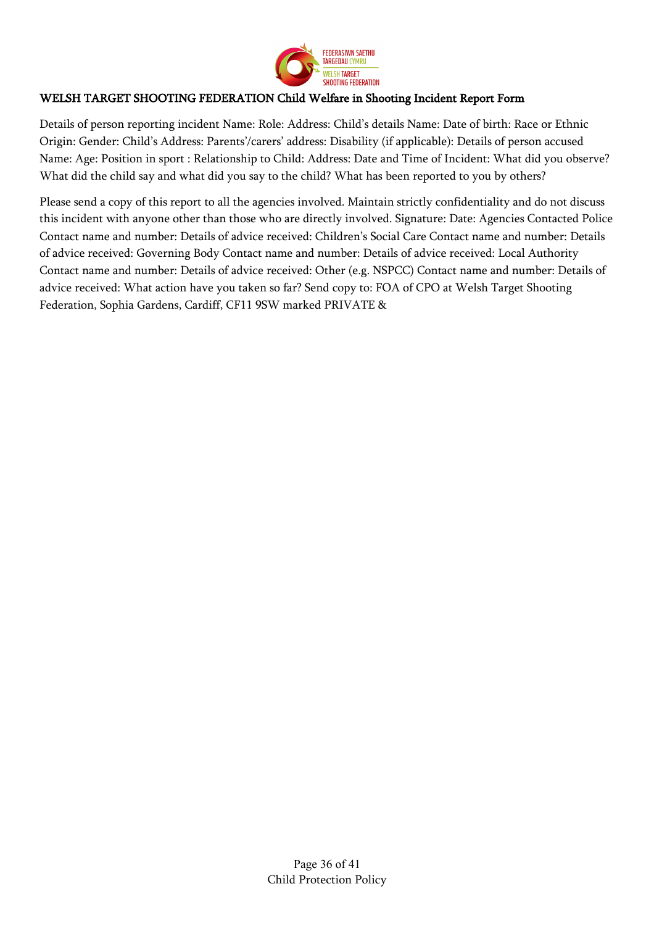

## WELSH TARGET SHOOTING FEDERATION Child Welfare in Shooting Incident Report Form

Details of person reporting incident Name: Role: Address: Child's details Name: Date of birth: Race or Ethnic Origin: Gender: Child's Address: Parents'/carers' address: Disability (if applicable): Details of person accused Name: Age: Position in sport : Relationship to Child: Address: Date and Time of Incident: What did you observe? What did the child say and what did you say to the child? What has been reported to you by others?

Please send a copy of this report to all the agencies involved. Maintain strictly confidentiality and do not discuss this incident with anyone other than those who are directly involved. Signature: Date: Agencies Contacted Police Contact name and number: Details of advice received: Children's Social Care Contact name and number: Details of advice received: Governing Body Contact name and number: Details of advice received: Local Authority Contact name and number: Details of advice received: Other (e.g. NSPCC) Contact name and number: Details of advice received: What action have you taken so far? Send copy to: FOA of CPO at Welsh Target Shooting Federation, Sophia Gardens, Cardiff, CF11 9SW marked PRIVATE &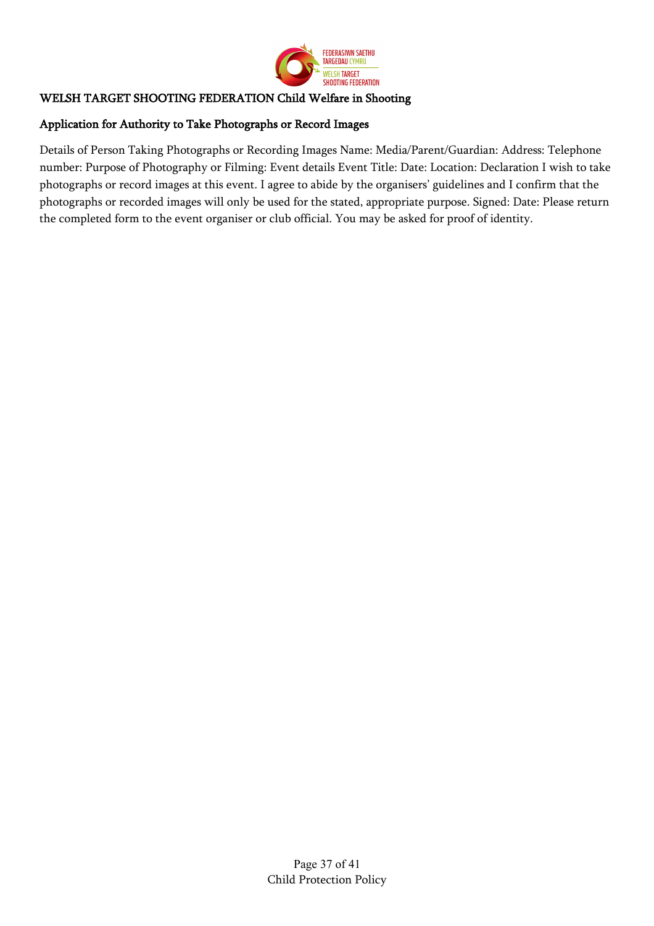

## WELSH TARGET SHOOTING FEDERATION Child Welfare in Shooting

### Application for Authority to Take Photographs or Record Images

Details of Person Taking Photographs or Recording Images Name: Media/Parent/Guardian: Address: Telephone number: Purpose of Photography or Filming: Event details Event Title: Date: Location: Declaration I wish to take photographs or record images at this event. I agree to abide by the organisers' guidelines and I confirm that the photographs or recorded images will only be used for the stated, appropriate purpose. Signed: Date: Please return the completed form to the event organiser or club official. You may be asked for proof of identity.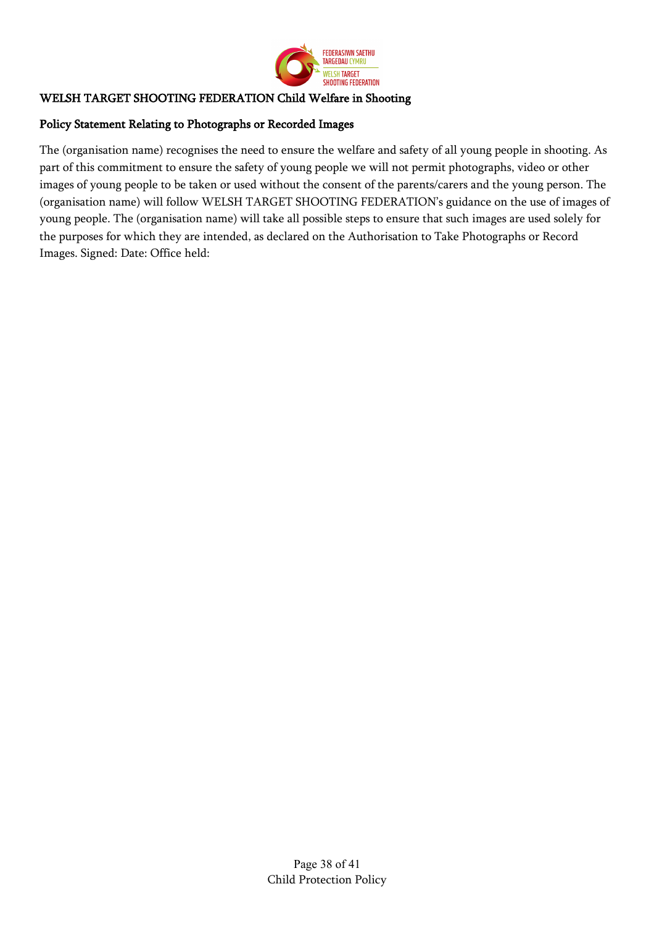

## WELSH TARGET SHOOTING FEDERATION Child Welfare in Shooting

### Policy Statement Relating to Photographs or Recorded Images

The (organisation name) recognises the need to ensure the welfare and safety of all young people in shooting. As part of this commitment to ensure the safety of young people we will not permit photographs, video or other images of young people to be taken or used without the consent of the parents/carers and the young person. The (organisation name) will follow WELSH TARGET SHOOTING FEDERATION's guidance on the use of images of young people. The (organisation name) will take all possible steps to ensure that such images are used solely for the purposes for which they are intended, as declared on the Authorisation to Take Photographs or Record Images. Signed: Date: Office held: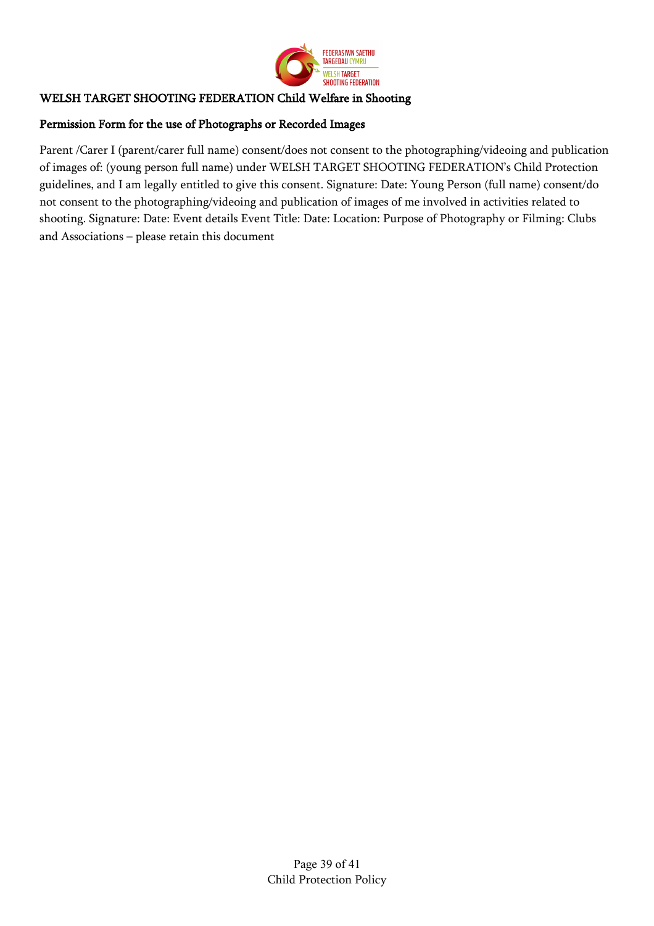

## WELSH TARGET SHOOTING FEDERATION Child Welfare in Shooting

## Permission Form for the use of Photographs or Recorded Images

Parent /Carer I (parent/carer full name) consent/does not consent to the photographing/videoing and publication of images of: (young person full name) under WELSH TARGET SHOOTING FEDERATION's Child Protection guidelines, and I am legally entitled to give this consent. Signature: Date: Young Person (full name) consent/do not consent to the photographing/videoing and publication of images of me involved in activities related to shooting. Signature: Date: Event details Event Title: Date: Location: Purpose of Photography or Filming: Clubs and Associations – please retain this document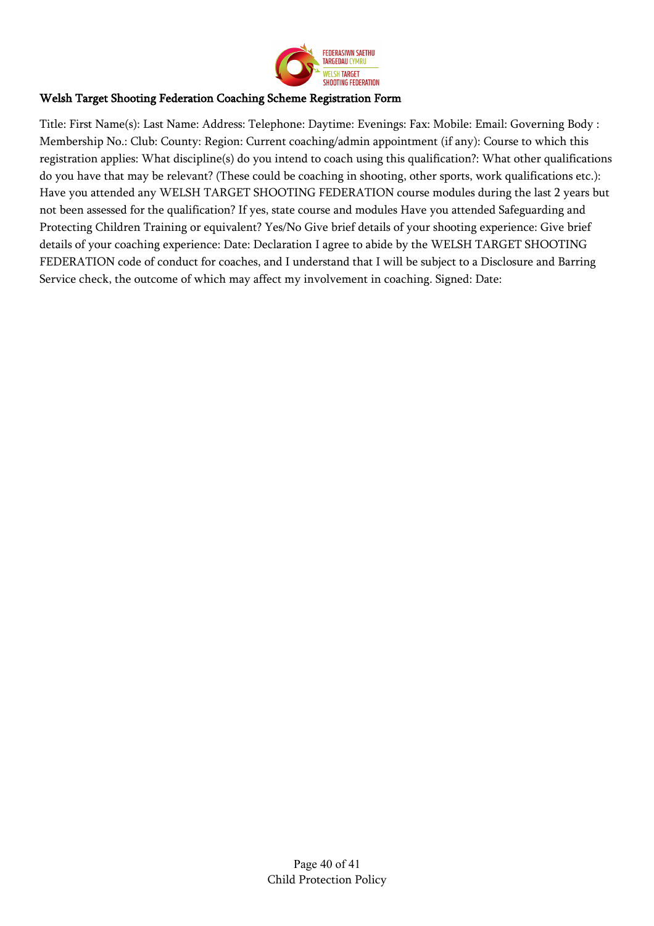

### Welsh Target Shooting Federation Coaching Scheme Registration Form

Title: First Name(s): Last Name: Address: Telephone: Daytime: Evenings: Fax: Mobile: Email: Governing Body : Membership No.: Club: County: Region: Current coaching/admin appointment (if any): Course to which this registration applies: What discipline(s) do you intend to coach using this qualification?: What other qualifications do you have that may be relevant? (These could be coaching in shooting, other sports, work qualifications etc.): Have you attended any WELSH TARGET SHOOTING FEDERATION course modules during the last 2 years but not been assessed for the qualification? If yes, state course and modules Have you attended Safeguarding and Protecting Children Training or equivalent? Yes/No Give brief details of your shooting experience: Give brief details of your coaching experience: Date: Declaration I agree to abide by the WELSH TARGET SHOOTING FEDERATION code of conduct for coaches, and I understand that I will be subject to a Disclosure and Barring Service check, the outcome of which may affect my involvement in coaching. Signed: Date: